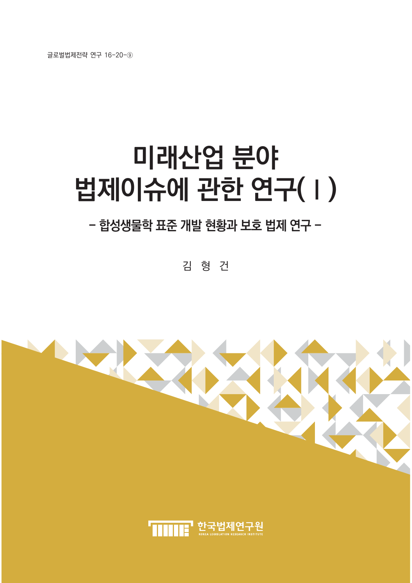글로벌법제전략 연구 16-20-⑨

# **미래산업 분야** 법제이슈에 관한 연구(1)

## - 합성생물학 표준 개발 현황과 보호 법제 연구 -

김 형 건

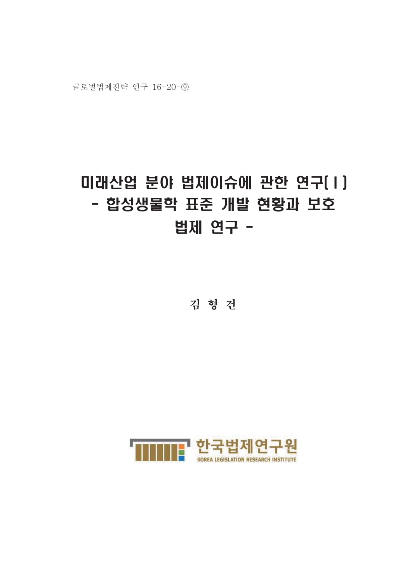# 미래산업 분야 법제이슈에 관한 연구(I) - 합성생물학 표준 개발 현황과 보호 법제 연구 -

김 형 건

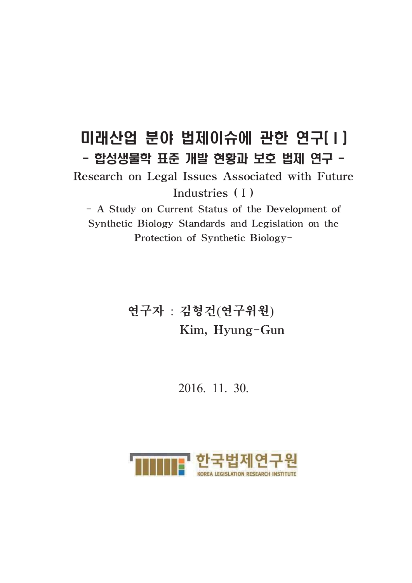## 미래산업 분야 법제이슈에 관한 연구(1) - 합성생물학 표준 개발 현황과 보호 법제 연구 -

Research on Legal Issues Associated with Future Industries (I)

- A Study on Current Status of the Development of Synthetic Biology Standards and Legislation on the Protection of Synthetic Biology-

> 연구자 : 김형건(연구위원) Kim, Hyung-Gun

> > 2016, 11, 30.

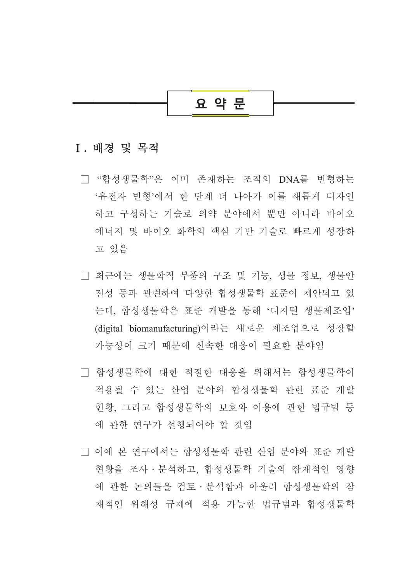## 요 약 문

#### I. 배경 및 목적

- □ "합성생물학"은 이미 존재하는 조직의 DNA를 변형하는 '유전자 변형'에서 한 단계 더 나아가 이를 새롭게 디자인 하고 구성하는 기술로 의약 분야에서 뿐만 아니라 바이오 에너지 및 바이오 화학의 핵심 기반 기술로 빠르게 성장하 고 있음
- □ 최근에는 생물학적 부품의 구조 및 기능, 생물 정보, 생물안 전성 등과 관련하여 다양한 합성생물학 표준이 제안되고 있 는데, 합성생물학은 표주 개발을 통해 '디지털 생물제조업' (digital biomanufacturing)이라는 새로운 제조업으로 성장할 가능성이 크기 때문에 신속한 대응이 필요한 분야임
- □ 합성생물학에 대한 적절한 대응을 위해서는 합성생물학이 적용될 수 있는 산업 분야와 합성생물학 관련 표준 개발 현황. 그리고 합성생물학의 보호와 이용에 관한 법규범 등 에 관한 연구가 선행되어야 할 것임
- □ 이에 본 연구에서는 합성생물학 관련 산업 분야와 표준 개발 현황을 조사 · 분석하고, 합성생물학 기술의 잠재적인 영향 에 관한 논의들을 검토 · 부석함과 아울러 합성생물학의 잠 재적인 위해성 규제에 적용 가능한 법규범과 합성생물학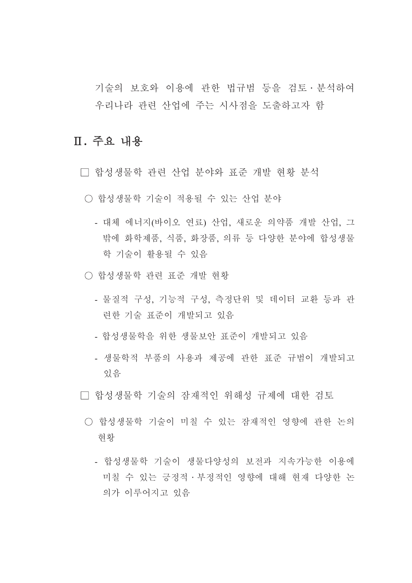기술의 보호와 이용에 관한 법규범 등을 검토 · 분석하여 우리나라 관련 산업에 주는 시사점을 도출하고자 함

## Ⅱ. 주요 내용

- □ 합성생물학 관련 산업 분야와 표준 개발 현황 분석
- 합성생물학 기술이 적용될 수 있는 산업 분야
	- 대체 에너지(바이오 연료) 산업, 새로운 의약품 개발 산업, 그 밖에 화학제품, 식품, 화장품, 의류 등 다양한 분야에 합성생물 학 기술이 활용될 수 있음
- 합성생물학 관련 표준 개발 협황
	- 물질적 구성, 기능적 구성, 측정단위 및 데이터 교환 등과 관 련한 기술 표준이 개발되고 있음
	- 합성생물학을 위한 생물보안 표준이 개발되고 있음
	- 생물학적 부품의 사용과 제공에 관한 표준 규범이 개발되고 있음

□ 합성생물학 기술의 잠재적인 위해성 규제에 대한 검토

- 합성생물학 기술이 미칠 수 있는 잠재적인 영향에 관한 논의 현황
	- 합성생물학 기술이 생물다양성의 보전과 지속가능한 이용에 미칠 수 있는 긍정적 · 부정적인 영향에 대해 현재 다양한 논 의가 이루어지고 있음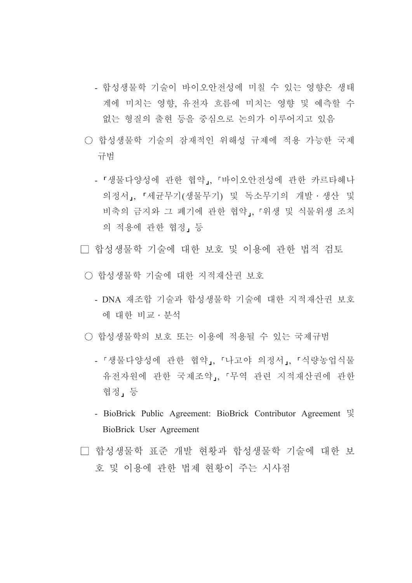- 합성생물학 기술이 바이오안전성에 미칠 수 있는 영향은 생태 계에 미치는 영향, 유전자 흐름에 미치는 영향 및 예측할 수 없는 형질의 출현 등을 중심으로 논의가 이루어지고 있음
- 합성생물학 기술의 잠재적인 위해성 규제에 적용 가능한 국제 규범
	- 「생물다양성에 관한 협약」 「바이오안전성에 관한 카르타헤나 의정서,, 『세균무기(생물무기) 및 독소무기의 개발 · 생산 및 비축의 금지와 그 폐기에 관한 협약」, 「위생 및 식물위생 조치 의 적용에 관한 협정, 등
- □ 합성생물학 기술에 대한 보호 및 이용에 관한 법적 검토
- 합성생물학 기술에 대한 지적재산권 보호
	- DNA 재조합 기술과 합성생물학 기술에 대한 지적재산권 보호 에 대한 비교 · 부석
- 합성생물학의 보호 또는 이용에 적용될 수 있는 국제규범
	- 「생물다양성에 관한 협약」. 「나고야 의정서」. 「식량농업식물 유전자원에 관한 국제조약, 「무역 관련 지적재산권에 관한 협정, 등
	- BioBrick Public Agreement: BioBrick Contributor Agreement 및 BioBrick User Agreement
- □ 합성생물학 표준 개발 현황과 합성생물학 기술에 대한 보 호 및 이용에 관한 법제 현황이 주는 시사점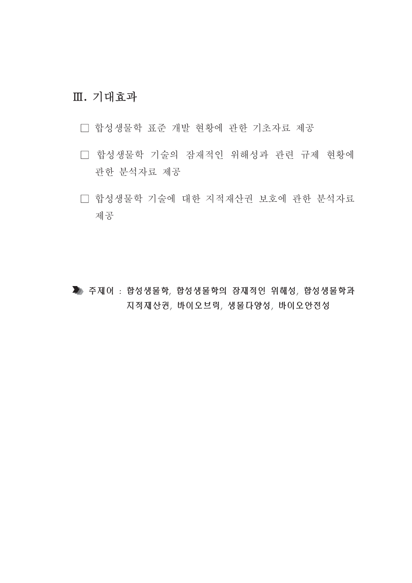## Ⅲ. 기대효과

- □ 합성생물학 표준 개발 현황에 관한 기초자료 제공
- □ 합성생물학 기술의 잠재적인 위해성과 관련 규제 현황에 관한 분석자료 제공
- □ 합성생물학 기술에 대한 지적재산권 보호에 관한 분석자료 제공

▶ 주제어 : 합성생물학, 합성생물학의 잠재적인 위해성, 합성생물학과 지적재산권, 바이오브릭, 생물다양성, 바이오안전성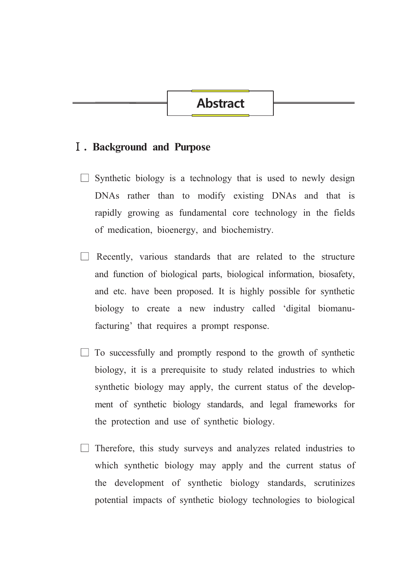## **Abstract**

#### **I**. Background and Purpose

- $\Box$  Synthetic biology is a technology that is used to newly design DNAs rather than to modify existing DNAs and that is rapidly growing as fundamental core technology in the fields of medication, bioenergy, and biochemistry.
- $\Box$  Recently, various standards that are related to the structure and function of biological parts, biological information, biosafety, and etc. have been proposed. It is highly possible for synthetic biology to create a new industry called 'digital biomanufacturing' that requires a prompt response.
- To successfully and promptly respond to the growth of synthetic biology, it is a prerequisite to study related industries to which synthetic biology may apply, the current status of the development of synthetic biology standards, and legal frameworks for the protection and use of synthetic biology.
- Therefore, this study surveys and analyzes related industries to which synthetic biology may apply and the current status of the development of synthetic biology standards, scrutinizes potential impacts of synthetic biology technologies to biological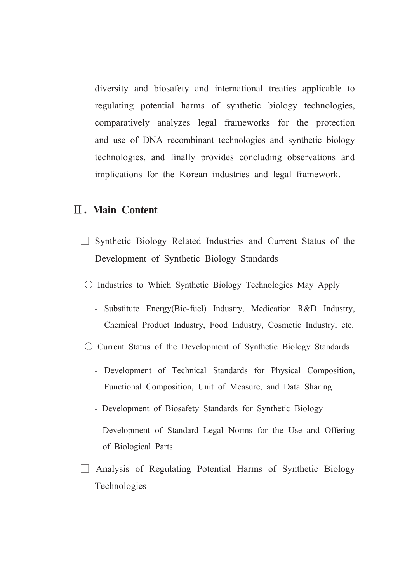diversity and biosafety and international treaties applicable to regulating potential harms of synthetic biology technologies, comparatively analyzes legal frameworks for the protection and use of DNA recombinant technologies and synthetic biology technologies, and finally provides concluding observations and implications for the Korean industries and legal framework.

#### **II. Main Content**

- $\Box$  Synthetic Biology Related Industries and Current Status of the Development of Synthetic Biology Standards
- $\circ$  Industries to Which Synthetic Biology Technologies May Apply
	- Substitute Energy(Bio-fuel) Industry, Medication R&D Industry, Chemical Product Industry, Food Industry, Cosmetic Industry, etc.
- $\circ$  Current Status of the Development of Synthetic Biology Standards
	- Development of Technical Standards for Physical Composition, Functional Composition, Unit of Measure, and Data Sharing
	- Development of Biosafety Standards for Synthetic Biology
	- Development of Standard Legal Norms for the Use and Offering of Biological Parts
- $\Box$  Analysis of Regulating Potential Harms of Synthetic Biology Technologies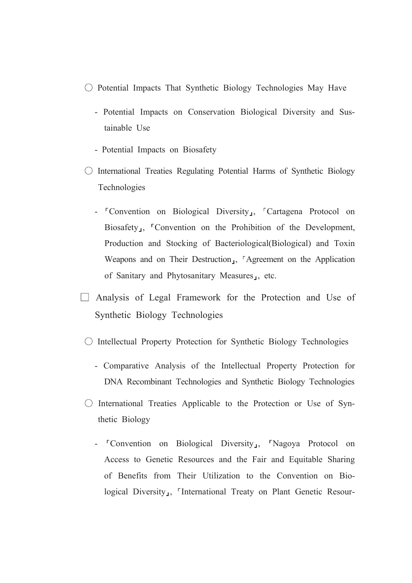- $\circ$  Potential Impacts That Synthetic Biology Technologies May Have
	- Potential Impacts on Conservation Biological Diversity and Sustainable Use
	- Potential Impacts on Biosafety
- International Treaties Regulating Potential Harms of Synthetic Biology Technologies
	- <sup>r</sup>Convention on Biological Diversity<sub>J</sub>, <sup>r</sup>Cartagena Protocol on Biosafety<sub>1</sub>, <sup>r</sup>Convention on the Prohibition of the Development, Production and Stocking of Bacteriological(Biological) and Toxin Weapons and on Their Destruction<sub>J</sub>, <sup>r</sup>Agreement on the Application of Sanitary and Phytosanitary Measures<sub>1</sub>, etc.
- $\Box$  Analysis of Legal Framework for the Protection and Use of Synthetic Biology Technologies
- $\circ$  Intellectual Property Protection for Synthetic Biology Technologies
	- Comparative Analysis of the Intellectual Property Protection for DNA Recombinant Technologies and Synthetic Biology Technologies
- $\circ$  International Treaties Applicable to the Protection or Use of Synthetic Biology
	- <sup>T</sup>Convention on Biological Diversity<sub>1</sub>, <sup>T</sup>Nagoya Protocol on Access to Genetic Resources and the Fair and Equitable Sharing of Benefits from Their Utilization to the Convention on Biological Diversity<sub>J</sub>, <sup>r</sup>International Treaty on Plant Genetic Resour-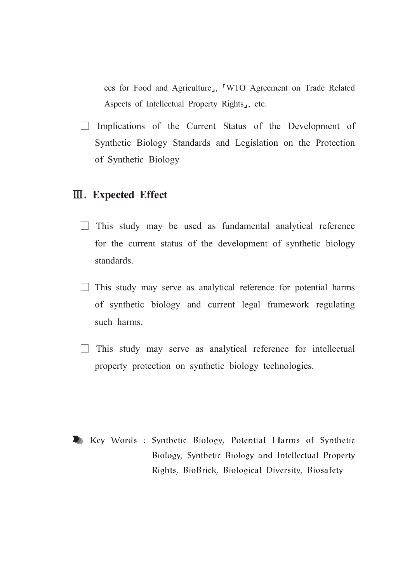ces for Food and Agriculture<sub>J</sub>, <sup>"</sup>WTO Agreement on Trade Related Aspects of Intellectual Property Rights<sub>1</sub>, etc.

 $\Box$  Implications of the Current Status of the Development of Synthetic Biology Standards and Legislation on the Protection of Synthetic Biology

## **III.** Expected Effect

- $\Box$  This study may be used as fundamental analytical reference for the current status of the development of synthetic biology standards.
- $\Box$  This study may serve as analytical reference for potential harms of synthetic biology and current legal framework regulating such harms.
- $\Box$  This study may serve as analytical reference for intellectual property protection on synthetic biology technologies.

Key Words: Synthetic Biology, Potential Harms of Synthetic Biology, Synthetic Biology and Intellectual Property Rights, BioBrick, Biological Diversity, Biosafety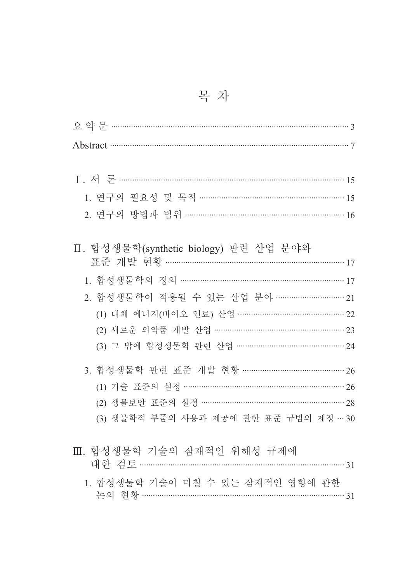| Abstract 37                              |  |
|------------------------------------------|--|
|                                          |  |
|                                          |  |
| 1. 연구의 필요성 및 목적 ……………………………………………………… 15 |  |
| 2. 연구의 방법과 범위 …………………………………………………………… 16 |  |
|                                          |  |
| Ⅱ. 합성생물학(synthetic biology) 관련 산업 분야와    |  |
|                                          |  |
|                                          |  |
| 2. 합성생물학이 적용될 수 있는 산업 분야 ………………………… 21   |  |
| (1) 대체 에너지(바이오 연료) 산업 ……………………………………… 22 |  |
| (2) 새로운 의약품 개발 산업 ……………………………………………… 23  |  |
| (3) 그 밖에 합성생물학 관련 산업 ……………………………………… 24  |  |
| 3. 합성생물학 관련 표준 개발 현황 ……………………………………… 26  |  |
| (1) 기술 표준의 설정 ………………………………………………………… 26  |  |
| (2) 생물보안 표준의 설정 …………………………………………………… 28  |  |
| (3) 생물학적 부품의 사용과 제공에 관한 표준 규범의 제정 … 30   |  |
|                                          |  |
| Ⅲ. 합성생물학 기술의 잠재적인 위해성 규제에                |  |
|                                          |  |
| 1. 합성생물학 기술이 미칠 수 있는 잠재적인 영향에 관한         |  |
|                                          |  |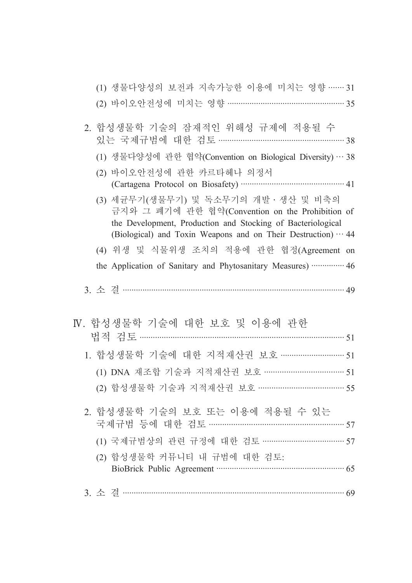| (1) 생물다양성의 보전과 지속가능한 이용에 미치는 영향 …… 31                                                                                                                 |  |
|-------------------------------------------------------------------------------------------------------------------------------------------------------|--|
| (2) 바이오안전성에 미치는 영향 …………………………………………… 35                                                                                                               |  |
| 2. 합성생물학 기술의 잠재적인 위해성 규제에 적용될 수<br>있는 국제규범에 대한 검토 ………………………………………………… 38                                                                              |  |
|                                                                                                                                                       |  |
| (1) 생물다양성에 관한 협약(Convention on Biological Diversity) … 38                                                                                             |  |
| (2) 바이오안전성에 관한 카르타헤나 의정서                                                                                                                              |  |
| (3) 세균무기(생물무기) 및 독소무기의 개발·생산 및 비축의<br>금지와 그 폐기에 관한 협약(Convention on the Prohibition of<br>the Development, Production and Stocking of Bacteriological |  |
| (Biological) and Toxin Weapons and on Their Destruction) $\cdots$ 44                                                                                  |  |
| (4) 위생 및 식물위생 조치의 적용에 관한 협정(Agreement on                                                                                                              |  |
| the Application of Sanitary and Phytosanitary Measures)  46                                                                                           |  |
|                                                                                                                                                       |  |
| N. 합성생물학 기술에 대한 보호 및 이용에 관한                                                                                                                           |  |
|                                                                                                                                                       |  |
| 1. 합성생물학 기술에 대한 지적재산권 보호 ………………………… 51                                                                                                                |  |
| (1) DNA 재조합 기술과 지적재산권 보호 ……………………………… 51                                                                                                              |  |
| (2) 합성생물학 기술과 지적재산권 보호 ……………………………… 55                                                                                                                |  |
| 2. 합성생물학 기술의 보호 또는 이용에 적용될 수 있는                                                                                                                       |  |
| 국제규범 등에 대한 검토 ………………………………………………… 57                                                                                                                  |  |
| (1) 국제규범상의 관련 규정에 대한 검토 ……………………………… 57                                                                                                               |  |
| (2) 합성생물학 커뮤니티 내 규범에 대한 검토:                                                                                                                           |  |
|                                                                                                                                                       |  |
|                                                                                                                                                       |  |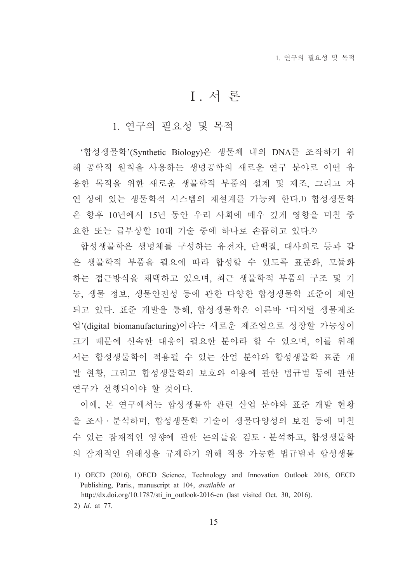## I. 서 론

1. 연구의 필요성 및 목적

'합성생물학'(Synthetic Biology)은 생물체 내의 DNA를 조작하기 위 해 공학적 원칙을 사용하는 생명공학의 새로운 연구 분야로 어떤 유 용한 목적을 위한 새로운 생물학적 부품의 설계 및 제조, 그리고 자 연 상에 있는 생물학적 시스템의 재설계를 가능케 한다.1) 합성생물학 은 향후 10년에서 15년 동안 우리 사회에 매우 깊게 영향을 미칠 중 요한 또는 급부상할 10대 기술 중에 하나로 손꼽히고 있다.2)

합성생물학은 생명체를 구성하는 유전자, 단백질, 대사회로 등과 같 은 생물학적 부품을 필요에 따라 합성할 수 있도록 표준화, 모듈화 하는 접근방식을 채택하고 있으며, 최근 생물학적 부품의 구조 및 기 능, 생물 정보, 생물안전성 등에 관한 다양한 합성생물학 표준이 제안 되고 있다. 표준 개발을 통해, 합성생물학은 이른바 '디지털 생물제조 업'(digital biomanufacturing)이라는 새로운 제조업으로 성장할 가능성이 크기 때문에 신속한 대응이 필요한 분야라 할 수 있으며, 이를 위해 서는 합성생물학이 적용될 수 있는 산업 분야와 합성생물학 표준 개 발 현황, 그리고 합성생물학의 보호와 이용에 관한 법규범 등에 관한 연구가 선행되어야 할 것이다.

이에, 본 연구에서는 합성생물학 관련 산업 분야와 표준 개발 현황 을 조사 · 분석하며, 합성생물학 기술이 생물다양성의 보전 등에 미칠 수 있는 잠재적인 영향에 관한 논의들을 검토ㆍ분석하고, 합성생물학 의 잠재적인 위해성을 규제하기 위해 적용 가능한 법규범과 합성생물

<sup>1)</sup> OECD (2016), OECD Science, Technology and Innovation Outlook 2016, OECD Publishing, Paris., manuscript at 104, available at

http://dx.doi.org/10.1787/sti in outlook-2016-en (last visited Oct. 30, 2016).

<sup>2)</sup> Id. at 77.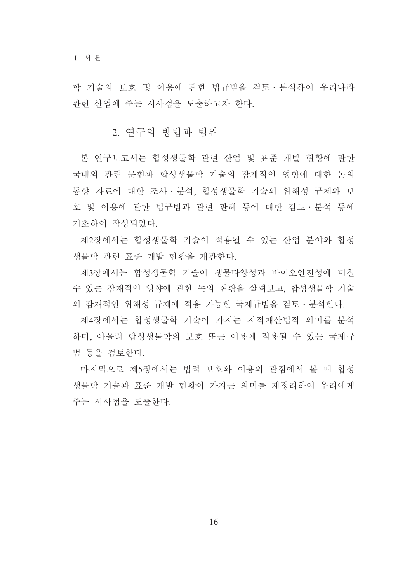학 기술의 보호 및 이용에 관한 법규범을 검토 · 분석하여 우리나라 과려 사업에 주는 시사점을 도출하고자 하다.

#### 2. 연구의 방법과 범위

본 연구보고서는 합성생물학 관련 산업 및 표준 개발 현황에 관한 국내외 관련 문헌과 합성생물학 기술의 잠재적인 영향에 대한 논의 동향 자료에 대한 조사 · 부석, 합성생물학 기술의 위해성 규제와 보 호 및 이용에 관한 법규범과 관련 판례 등에 대한 검토 · 분석 등에 기초하여 작성되었다.

제2장에서는 합성생물학 기술이 적용될 수 있는 산업 분야와 합성 생물학 관련 표준 개발 현황을 개관한다.

제3장에서는 합성생물학 기술이 생물다양성과 바이오안전성에 미칠 수 있는 잠재적인 영향에 관한 논의 현황을 살펴보고, 합성생물학 기술 의 잠재적인 위해성 규제에 적용 가능한 국제규범을 검토 · 분석한다.

제4장에서는 합성생물학 기술이 가지는 지적재산법적 의미를 분석 하며, 아울러 합성생물학의 보호 또는 이용에 적용될 수 있는 국제규 범 등을 검토한다.

마지막으로 제5장에서는 법적 보호와 이용의 관점에서 볼 때 합성 생물학 기술과 표준 개발 현황이 가지는 의미를 재정리하여 우리에게 주는 시사점을 도출하다.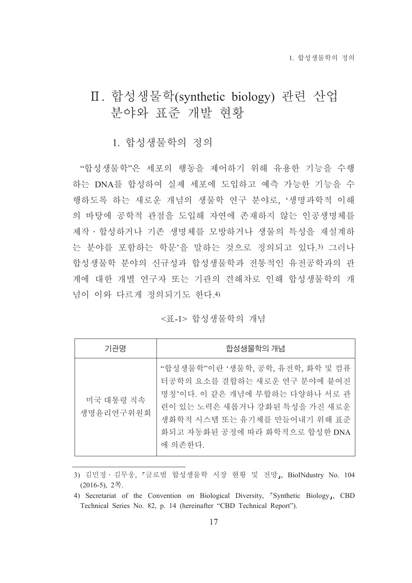## Ⅱ. 합성생물학(synthetic biology) 관련 산업 분야와 표준 개발 현황

## 1. 합성생물학의 정의

"합성생물학"은 세포의 행동을 제어하기 위해 유용한 기능을 수행 하는 DNA를 합성하여 실제 세포에 도입하고 예측 가능한 기능을 수 행하도록 하는 새로운 개념의 생물학 연구 분야로. '생명과학적 이해 의 바탕에 공학적 관점을 도입해 자연에 존재하지 않는 인공생명체를 제작 • 합성하거나 기존 생명체를 모방하거나 생물의 특성을 재설계하 는 분야를 포함하는 학문'을 말하는 것으로 정의되고 있다.3) 그러나 합성생물학 분야의 신규성과 합성생물학과 전통적인 유전공학과의 관 계에 대한 개별 연구자 또는 기관의 견해차로 인해 합성생물학의 개 념이 이와 다르게 정의되기도 한다.4)

#### <표-1> 합성생물학의 개념

| 기관명                    | 합성생물학의 개념                                                                                                                                                                                                       |
|------------------------|-----------------------------------------------------------------------------------------------------------------------------------------------------------------------------------------------------------------|
| 미국 대통령 직속<br>생명유리연구위워회 | "합성생물학"이란 '생물학, 공학, 유전학, 화학 및 컴퓨<br>터공학의 요소를 결합하는 새로운 연구 분야에 붙여진<br>명칭'이다. 이 같은 개념에 부합하는 다양하나 서로 관<br>련이 있는 노력은 새롭거나 강화된 특성을 가진 새로운<br>생화학적 시스템 또는 유기체를 만들어내기 위해 표준<br>화되고 자동화된 공정에 따라 화학적으로 합성한 DNA<br>에 의존한다. |

<sup>3)</sup> 김민정 · 김무웅, 『글로벌 합성생물학 시장 현황 및 전망』, BioINdustry No. 104  $(2016-5), 2$ 쪽.

<sup>4)</sup> Secretariat of the Convention on Biological Diversity, "Synthetic Biology<sub>1</sub>, CBD Technical Series No. 82, p. 14 (hereinafter "CBD Technical Report").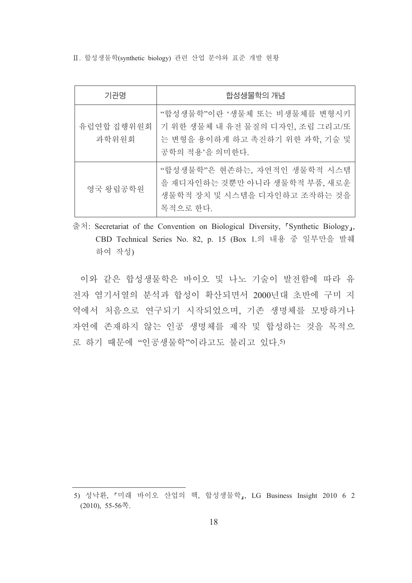Ⅱ. 합성생물학(synthetic biology) 관련 산업 분야와 표준 개발 현황

| 기관명                 | 합성생물학의 개념                                                                                                           |
|---------------------|---------------------------------------------------------------------------------------------------------------------|
| 유럽연합 집행위원회<br>과학위원회 | "합성생물학"이란 '생물체 또는 비생물체를 변형시키<br>기 위한 생물체 내 유전 물질의 디자인, 조립 그리고/또<br>는 변형을 용이하게 하고 촉진하기 위한 과학, 기술 및<br>공학의 적용'을 의미하다. |
| 영국 왕립공학원            | "합성생물학"은 현존하는, 자연적인 생물학적 시스템<br>을 재디자인하는 것뿐만 아니라 생물학적 부품, 새로운<br>생물학적 장치 및 시스템을 디자인하고 조작하는 것을<br>목적으로 하다.           |

출처: Secretariat of the Convention on Biological Diversity, 「Synthetic Biology」, CBD Technical Series No. 82, p. 15 (Box 1.의 내용 중 일부만을 발췌 하여 작성)

이와 같은 합성생물학은 바이오 및 나노 기술이 발전함에 따라 유 전자 염기서열의 분석과 합성이 확산되면서 2000년대 초반에 구미 지 역에서 처음으로 연구되기 시작되었으며, 기존 생명체를 모방하거나 자연에 존재하지 않는 인공 생명체를 제작 및 합성하는 것을 목적으 로 하기 때문에 "인공생물학"이라고도 불리고 있다.5)

<sup>5)</sup> 성낙환, 『미래 바이오 산업의 핵, 합성생물학』, LG Business Insight 2010 6 2  $(2010)$ , 55-56쪽.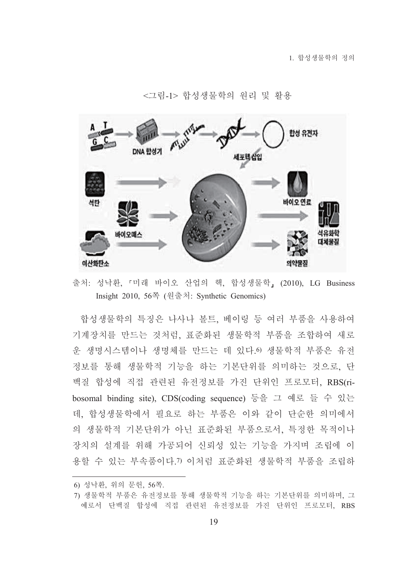

<그림-1> 합성생물학의 워리 및 활용

출처: 성낙환, 『미래 바이오 산업의 핵, 합성생물학』 (2010), LG Business Insight 2010, 56쪽 (원출처: Synthetic Genomics)

합성생물학의 특징은 나사나 볼트, 베이링 등 여러 부품을 사용하여 기계장치를 만드는 것처럼, 표준화된 생물학적 부품을 조합하여 새로 운 생명시스템이나 생명체를 만드는 데 있다.6) 생물학적 부품은 유전 정보를 통해 생물학적 기능을 하는 기본단위를 의미하는 것으로, 단 백질 합성에 직접 관련된 유전정보를 가진 단위인 프로모터, RBS(ribosomal binding site), CDS(coding sequence) 등을 그 예로 들 수 있는 데, 합성생물학에서 필요로 하는 부품은 이와 같이 단수한 의미에서 의 생물학적 기본단위가 아닌 표준화된 부품으로서, 특정한 목적이나 장치의 설계를 위해 가공되어 신뢰성 있는 기능을 가지며 조립에 이 용할 수 있는 부속품이다. ?) 이처럼 표준화된 생물학적 부품을 조립하

<sup>6)</sup> 성낙환, 위의 문헌, 56쪽.

<sup>7)</sup> 생물학적 부품은 유전정보를 통해 생물학적 기능을 하는 기본단위를 의미하며, 그 예로서 단백질 합성에 직접 관련된 유전정보를 가진 단위인 프로모터, RBS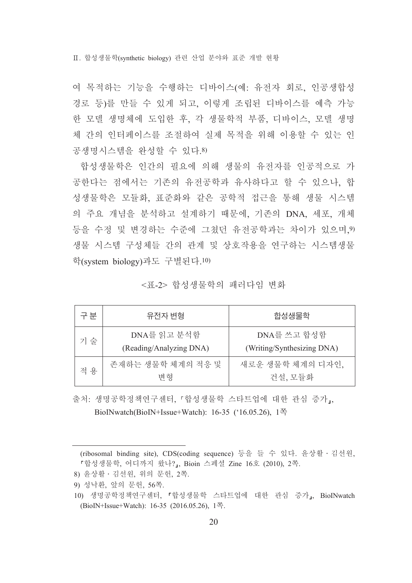Ⅱ. 합성생물학(svnthetic biology) 관련 산업 분야와 표준 개발 현황

여 목적하는 기능을 수행하는 디바이스(예: 유전자 회로, 인공생합성 경로 등)를 만들 수 있게 되고, 이렇게 조립된 디바이스를 예측 가능 한 모델 생명체에 도입한 후, 각 생물학적 부품, 디바이스, 모델 생명 체 간의 인터페이스를 조절하여 실제 목적을 위해 이용할 수 있는 인 공생명시스템을 와성할 수 있다.8)

합성생물학은 인간의 필요에 의해 생물의 유전자를 인공적으로 가 공한다는 점에서는 기존의 유전공학과 유사하다고 할 수 있으나. 합 성생물학은 모듈화, 표준화와 같은 공학적 접근을 통해 생물 시스템 의 주요 개념을 분석하고 설계하기 때문에, 기존의 DNA, 세포, 개체 등을 수정 및 변경하는 수준에 그쳤던 유전공학과는 차이가 있으며,9) 생물 시스템 구성체들 간의 관계 및 상호작용을 연구하는 시스템생물 학(system biology)과도 구별된다.10)

<표-2> 합성생물학의 패러다임 변화

| 구분  | 유전자 변형                                 | 합성생물학                                     |
|-----|----------------------------------------|-------------------------------------------|
| 기 술 | DNA를 읽고 분석함<br>(Reading/Analyzing DNA) | DNA를 쓰고 합성함<br>(Writing/Synthesizing DNA) |
| 적 용 | 존재하는 생물학 체계의 적응 및<br>변형                | 새로운 생물학 체계의 디자인,<br>건설, 모듈화               |

출처: 생명공학정책연구센터, 『합성생물학 스타트업에 대한 관심 증가』, BioINwatch(BioIN+Issue+Watch): 16-35 ('16.05.26), 1쪽

<sup>(</sup>ribosomal binding site), CDS(coding sequence) 등을 들 수 있다. 윤상활 · 김선원, 『합성생물학, 어디까지 왔나?』, Bioin 스페셜 Zine 16호 (2010), 2쪽.

<sup>8)</sup> 윤상활 · 김선원, 위의 문헌, 2쪽.

<sup>9)</sup> 성낙환, 앞의 문헌, 56쪽.

<sup>10)</sup> 생명공학정책연구센터, 『합성생물학 스타트업에 대한 관심 증가』, BioINwatch (BioIN+Issue+Watch): 16-35 (2016.05.26), 1쪽.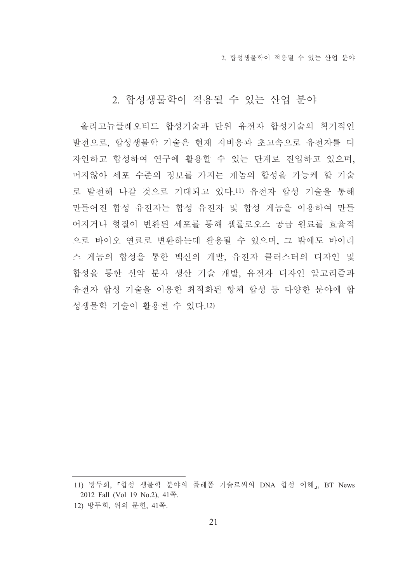2. 합성생물학이 적용될 수 있는 산업 분야

## 2. 합성생물학이 적용될 수 있는 산업 분야

올리고뉴클레오티드 합성기술과 단위 유전자 합성기술의 획기적인 발전으로, 합성생물학 기술은 현재 저비용과 초고속으로 유전자를 디 자인하고 합성하여 연구에 활용할 수 있는 단계로 진입하고 있으며, 머지않아 세포 수준의 정보를 가지는 게놈의 합성을 가능케 할 기술 로 발전해 나갈 것으로 기대되고 있다.11) 유전자 합성 기술을 통해 만들어진 합성 유전자는 합성 유전자 및 합성 게놈을 이용하여 만들 어지거나 형질이 변화된 세포를 통해 셀룰로오스 공급 워료를 효율적 으로 바이오 연료로 변환하는데 활용될 수 있으며, 그 밖에도 바이러 스 게놈의 합성을 통한 백신의 개발. 유전자 클러스터의 디자인 및 합성을 통한 신약 분자 생산 기술 개발, 유전자 디자인 알고리즘과 유전자 합성 기술을 이용한 최적화된 항체 합성 등 다양한 분야에 합 성생물학 기술이 활용될 수 있다.12)

<sup>11)</sup> 방두희, 「합성 생물학 분야의 플래폼 기술로써의 DNA 합성 이해,, BT News 2012 Fall (Vol 19 No.2), 41쪽. 12) 방두희, 위의 문헌, 41쪽.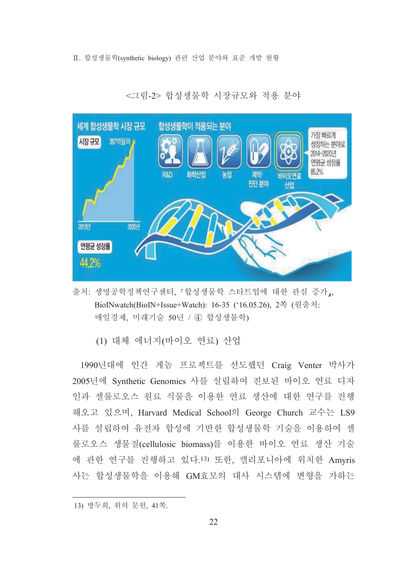Ⅱ. 합성생물학(svnthetic biology) 관련 산업 분야와 표준 개발 현황



<그림-2> 합성생물학 시장규모와 적용 분야

- 출처: 생명공학정책연구센터, 『합성생물학 스타트업에 대한 관심 증가,, BioINwatch(BioIN+Issue+Watch): 16-35 ('16.05.26), 2쪽 (원출처: 매일경제, 미래기술 50년 / 4 합성생물학)
	- (1) 대체 에너지(바이오 연료) 산업

1990년대에 인간 게놈 프로젝트를 선도했던 Craig Venter 박사가 2005년에 Synthetic Genomics 사를 설립하여 진보된 바이오 연료 디자 인과 셀룰로오스 워료 식물을 이용한 연료 생산에 대한 연구를 진행 해오고 있으며, Harvard Medical School의 George Church 교수는 LS9 사를 설립하여 유전자 합성에 기반한 합성생물학 기술을 이용하여 셀 룰로오스 생물질(cellulosic biomass)를 이용한 바이오 연료 생산 기술 에 관한 연구를 진행하고 있다.13) 또한, 캘리포니아에 위치한 Amvris 사는 합성생물학을 이용해 GM효모의 대사 시스템에 변형을 가하는

<sup>13)</sup> 방두희, 위의 문헌, 41쪽.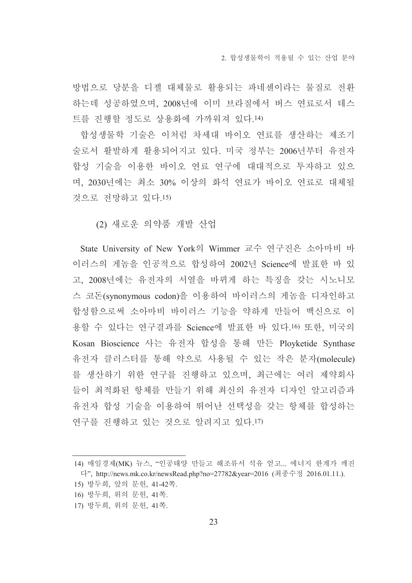방법으로 당분을 디젤 대체물로 활용되는 파네센이라는 물질로 전환 하는데 성공하였으며, 2008년에 이미 브라질에서 버스 연료로서 테스 트를 진행할 정도로 상용화에 가까워져 있다.14)

합성생물학 기술은 이처럼 차세대 바이오 연료를 생산하는 제조기 술로서 활발하게 활용되어지고 있다. 미국 정부는 2006년부터 유전자 합성 기술을 이용한 바이오 연료 연구에 대대적으로 투자하고 있으 며. 2030년에는 최소 30% 이상의 화석 연료가 바이오 연료로 대체될 것으로 전망하고 있다.15)

(2) 새로운 의약품 개발 산업

State University of New York의 Wimmer 교수 연구진은 소아마비 바 이러스의 게놈을 인공적으로 합성하여 2002년 Science에 발표한 바 있 고, 2008년에는 유전자의 서열을 바뀌게 하는 특징을 갖는 시노니모 스 코돈(synonymous codon)을 이용하여 바이러스의 게놈을 디자인하고 합성함으로써 소아마비 바이러스 기능을 약하게 만들어 백신으로 이 용할 수 있다는 연구결과를 Science에 발표한 바 있다.16) 또한, 미국의 Kosan Bioscience 사는 유전자 합성을 통해 만든 Ployketide Synthase 유전자 클러스터를 통해 약으로 사용될 수 있는 작은 분자(molecule) 를 생산하기 위한 연구를 진행하고 있으며, 최근에는 여러 제약회사 들이 최적화된 항체를 만들기 위해 최신의 유전자 디자인 알고리즘과 유전자 합성 기술을 이용하여 뛰어난 선택성을 갖는 항체를 합성하는 연구를 진행하고 있는 것으로 알려지고 있다.17)

- 16) 방두희, 위의 문헌, 41쪽.
- 17) 방두희, 위의 문헌, 41쪽.

<sup>14)</sup> 매일경제(MK) 뉴스, "인공태양 만들고 해조류서 석유 얻고... 에너지 한계가 깨진 다", http://news.mk.co.kr/newsRead.php?no=27782&vear=2016 (최종수정 2016.01.11.).

<sup>15)</sup> 방두희, 앞의 문헌, 41-42쪽.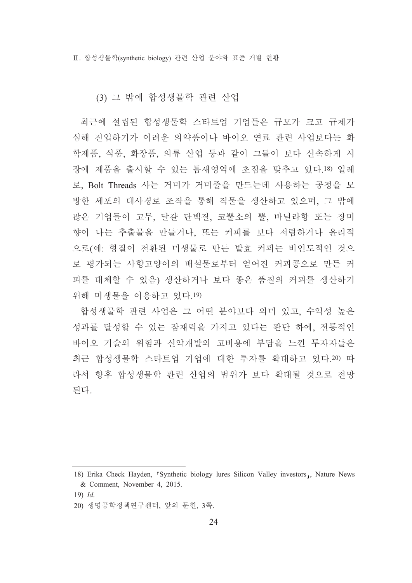Ⅱ. 합성생물학(svnthetic biology) 관련 산업 분야와 표준 개발 현황

#### (3) 그 밖에 합성생물학 관련 산업

최근에 설립된 합성생물학 스타트업 기업들은 규모가 크고 규제가 심해 진입하기가 어려운 의약품이나 바이오 연료 관련 사업보다는 화 학제품, 식품, 화장품, 의류 산업 등과 같이 그들이 보다 신속하게 시 장에 제품을 출시할 수 있는 틈새영역에 초점을 맞추고 있다.18) 일례 로, Bolt Threads 사는 거미가 거미줄을 만드는데 사용하는 공정을 모 방한 세포의 대사경로 조작을 통해 직물을 생산하고 있으며, 그 밖에 많은 기업들이 고무, 달걀 단백질, 코뿔소의 뿔, 바닐라향 또는 장미 향이 나는 추출물을 만들거나. 또는 커피를 보다 저렴하거나 유리적 으로(예: 형질이 전환된 미생물로 만든 발효 커피는 비인도적인 것으 로 평가되는 사향고양이의 배설물로부터 얻어진 커피콩으로 만든 커 피를 대체할 수 있음) 생산하거나 보다 좋은 품질의 커피를 생산하기 위해 미생물을 이용하고 있다.19)

합성생물학 관련 사업은 그 어떤 분야보다 의미 있고, 수익성 높은 성과를 달성할 수 있는 잠재력을 가지고 있다는 판단 하에, 전통적인 바이오 기술의 위험과 신약개발의 고비용에 부담을 느낀 투자자들은 최근 합성생물학 스타트업 기업에 대한 투자를 확대하고 있다.20) 따 라서 향후 합성생물학 관련 산업의 범위가 보다 확대될 것으로 전망 되다.

<sup>18)</sup> Erika Check Hayden, <sup>r</sup>Synthetic biology lures Silicon Valley investors<sub>1</sub>, Nature News & Comment, November 4, 2015.

 $19)$  *Id.* 

<sup>20)</sup> 생명공학정책연구센터, 앞의 문헌, 3쪽.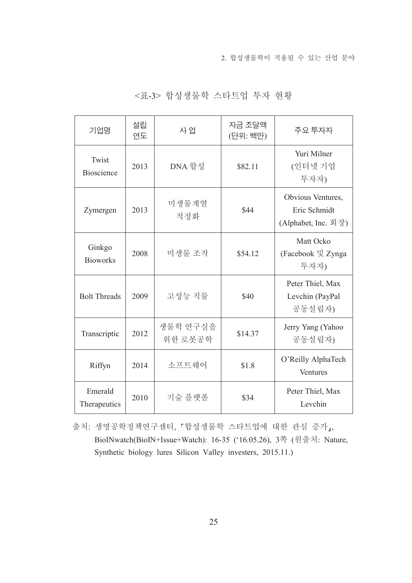2. 합성생물학이 적용될 수 있는 산업 분야

| 기업명                        | 설립<br>연도 | 사 업                 | 자금 조달액<br>(단위: 백만) | 주요 투자자                                                   |
|----------------------------|----------|---------------------|--------------------|----------------------------------------------------------|
| Twist<br><b>Bioscience</b> | 2013     | DNA 합성              | \$82.11            | Yuri Milner<br>(인터넷 기업<br>투자자)                           |
| Zymergen                   | 2013     | 미생물계열<br>적정화        | \$44               | Obvious Ventures,<br>Eric Schmidt<br>(Alphabet, Inc. 회장) |
| Ginkgo<br><b>Bioworks</b>  | 2008     | 미생물 조작              | \$54.12            | Matt Ocko<br>(Facebook 및 Zynga<br>투자자)                   |
| <b>Bolt Threads</b>        | 2009     | 고성능 직물              | \$40               | Peter Thiel, Max<br>Levchin (PayPal<br>공동설립자)            |
| Transcriptic               | 2012     | 생물학 연구실을<br>위한 로봇공학 | \$14.37            | Jerry Yang (Yahoo<br>공동설립자)                              |
| Riffyn                     | 2014     | 소프트웨어               | \$1.8              | O'Reilly AlphaTech<br>Ventures                           |
| Emerald<br>Therapeutics    | 2010     | 기술 플랫폼              | \$34               | Peter Thiel, Max<br>Levchin                              |

<표-3> 합성생물학 스타트업 투자 현황

출처: 생명공학정책연구센터, 『합성생물학 스타트업에 대한 관심 증가』, BioINwatch(BioIN+Issue+Watch): 16-35 ('16.05.26), 3쪽 (원출처: Nature, Synthetic biology lures Silicon Valley investers, 2015.11.)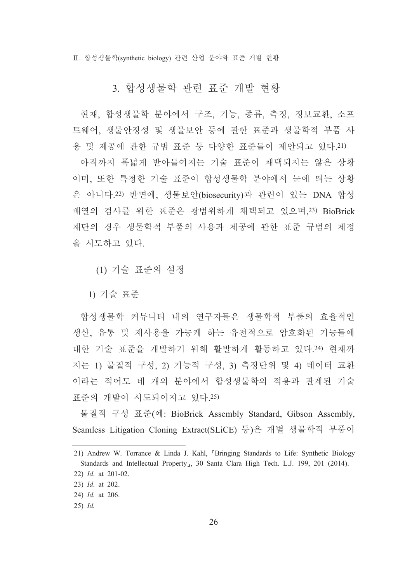Ⅱ. 합성생물학(svnthetic biology) 관련 산업 분야와 표준 개발 현황

### 3. 합성생물학 관련 표준 개발 현황

현재, 합성생물학 분야에서 구조, 기능, 종류, 측정, 정보교환, 소프 트웨어, 생물안정성 및 생물보안 등에 관한 표준과 생물학적 부품 사 용 및 제공에 관한 규범 표준 등 다양한 표준들이 제안되고 있다.21)

아직까지 폭넓게 받아들여지는 기술 표준이 채택되지는 않은 상황 이며, 또한 특정한 기술 표준이 합성생물학 분야에서 눈에 띄는 상황 은 아니다.22) 반면에, 생물보안(biosecurity)과 관련이 있는 DNA 합성 배열의 검사를 위한 표준은 광범위하게 채택되고 있으며, 23) BioBrick 재단의 경우 생물학적 부품의 사용과 제공에 관한 표준 규범의 제정 을 시도하고 있다.

(1) 기술 표준의 설정

1) 기술 표준

합성생물학 커뮤니티 내의 연구자들은 생물학적 부품의 효율적인 생산, 유통 및 재사용을 가능케 하는 유전적으로 암호화된 기능들에 대한 기술 표준을 개발하기 위해 활발하게 활동하고 있다.24) 현재까 지는 1) 물질적 구성, 2) 기능적 구성, 3) 측정단위 및 4) 데이터 교환 이라는 적어도 네 개의 분야에서 합성생물학의 적용과 관계된 기술 표준의 개발이 시도되어지고 있다.25)

물질적 구성 표준(예: BioBrick Assembly Standard, Gibson Assembly, Seamless Litigation Cloning Extract(SLiCE) 등)은 개별 생물학적 부품이

<sup>21)</sup> Andrew W. Torrance & Linda J. Kahl, <sup>r</sup>Bringing Standards to Life: Synthetic Biology Standards and Intellectual Property<sub>1</sub>, 30 Santa Clara High Tech. L.J. 199, 201 (2014).

<sup>22)</sup>  $Id$ , at 201-02.

<sup>23)</sup> *Id.* at 202. 24) Id. at 206.

 $25)$  *Id.*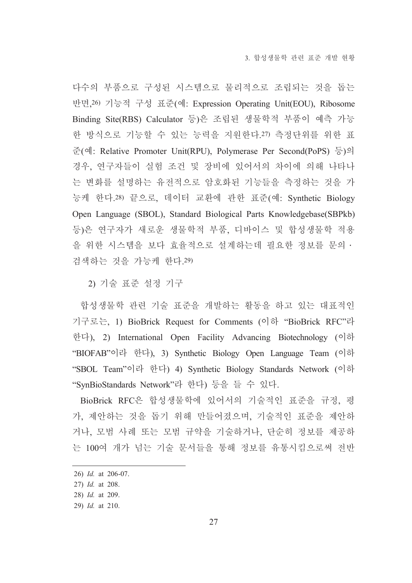다수의 부품으로 구성된 시스템으로 물리적으로 조립되는 것을 돕는 반면, 26) 기능적 구성 표준(예: Expression Operating Unit(EOU), Ribosome Binding Site(RBS) Calculator 등)은 조립된 생물학적 부품이 예측 가능 한 방식으로 기능할 수 있는 능력을 지원한다.27) 측정단위를 위한 표 준(예: Relative Promoter Unit(RPU), Polymerase Per Second(PoPS) 등)의 경우, 연구자들이 실험 조건 및 장비에 있어서의 차이에 의해 나타나 는 변화를 설명하는 유전적으로 암호화된 기능들을 측정하는 것을 가 능케 한다.28) 끝으로, 데이터 교환에 관한 표준(예: Synthetic Biology Open Language (SBOL), Standard Biological Parts Knowledgebase (SBPkb) 등)은 연구자가 새로운 생물학적 부품, 디바이스 및 합성생물학 적용 을 위한 시스템을 보다 효율적으로 설계하는데 필요한 정보를 문의 · 검색하는 것을 가능케 한다.29)

2) 기술 표준 설정 기구

합성생물학 관련 기술 표준을 개발하는 활동을 하고 있는 대표적인 기구로는, 1) BioBrick Request for Comments (이하 "BioBrick RFC"라 한다), 2) International Open Facility Advancing Biotechnology (이하 "BIOFAB"이라 한다), 3) Synthetic Biology Open Language Team (이하 "SBOL Team"이라 한다) 4) Synthetic Biology Standards Network (이하 "SynBioStandards Network"라 한다) 등을 들 수 있다.

BioBrick RFC은 합성생물학에 있어서의 기술적인 표준을 규정, 평 가, 제안하는 것을 돕기 위해 만들어졌으며, 기술적인 표준을 제안하 거나, 모범 사례 또는 모범 규약을 기술하거나, 단순히 정보를 제공하 는 100여 개가 넘는 기술 문서들을 통해 정보를 유통시킴으로써 전반

<sup>26)</sup> *Id.* at 206-07.

<sup>27)</sup> Id. at 208.

<sup>28)</sup> Id. at 209.

<sup>29)</sup> Id. at 210.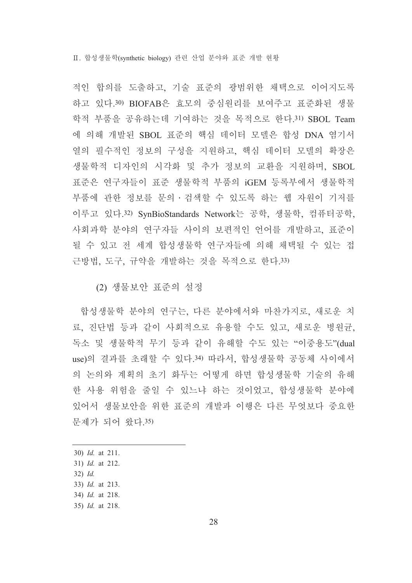Ⅱ. 합성생물학(svnthetic biology) 관련 산업 분야와 표준 개발 현황

적인 합의를 도출하고, 기술 표준의 광범위한 채택으로 이어지도록 하고 있다.30) BIOFAB은 효모의 중심원리를 보여주고 표준화된 생물 학적 부품을 공유하는데 기여하는 것을 목적으로 한다.31) SBOL Team 에 의해 개발된 SBOL 표준의 핵심 데이터 모델은 합성 DNA 염기서 열의 필수적인 정보의 구성을 지워하고, 핵심 데이터 모델의 확장은 생물학적 디자인의 시각화 및 추가 정보의 교환을 지원하며, SBOL 표준은 연구자들이 표준 생물학적 부품의 iGEM 등록부에서 생물학적 부품에 관한 정보를 문의 · 검색할 수 있도록 하는 웹 자원이 기저를 이루고 있다.32) SynBioStandards Network는 공학, 생물학, 컴퓨터공학, 사회과학 분야의 연구자들 사이의 보편적인 언어를 개발하고, 표준이 될 수 있고 전 세계 합성생물학 연구자들에 의해 채택될 수 있는 접 근방법. 도구. 규약을 개발하는 것을 목적으로 하다.33)

(2) 생물보안 표준의 설정

합성생물학 분야의 연구는, 다른 분야에서와 마찬가지로, 새로운 치 료, 진단법 등과 같이 사회적으로 유용할 수도 있고, 새로운 병원균, 독소 및 생물학적 무기 등과 같이 유해할 수도 있는 "이중용도"(dual use)의 결과를 초래할 수 있다.34) 따라서, 합성생물학 공동체 사이에서 의 논의와 계획의 초기 화두는 어떻게 하면 합성생물학 기술의 유해 한 사용 위험을 줄일 수 있느냐 하는 것이었고, 합성생물학 분야에 있어서 생물보안을 위한 표준의 개발과 이행은 다른 무엇보다 중요한 문제가 되어 왔다.35)

30) Id. at 211.

- $32)$  *Id.*
- 33) *Id.* at 213.
- 34) Id. at 218.
- 35) Id. at 218.

<sup>31)</sup> Id. at 212.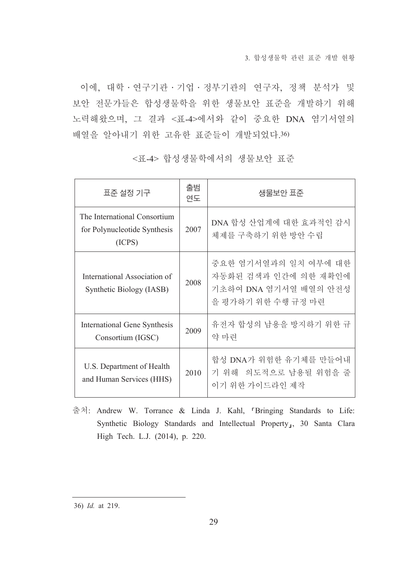3. 합성생물학 관련 표준 개발 협황

이에, 대학 · 연구기관 · 기업 · 정부기관의 연구자, 정책 분석가 및 보안 전문가들은 합성생물학을 위한 생물보안 표준을 개발하기 위해 노력해왔으며, 그 결과 <표-4>에서와 같이 중요한 DNA 염기서열의 배열을 알아내기 위한 고유한 표준들이 개발되었다.36)

| 표준 설정 기구                                                               | 출범<br>연도 | 생물보안 표준                                                                                     |
|------------------------------------------------------------------------|----------|---------------------------------------------------------------------------------------------|
| The International Consortium<br>for Polynucleotide Synthesis<br>(ICPS) | 2007     | DNA 합성 산업계에 대한 효과적인 감시<br>체제를 구축하기 위한 방안 수립                                                 |
| International Association of<br>Synthetic Biology (IASB)               | 2008     | 중요한 염기서열과의 일치 여부에 대한<br>자동화된 검색과 인간에 의한 재확인에<br>기초하여 DNA 염기서열 배열의 안전성<br>을 평가하기 위한 수행 규정 마련 |
| <b>International Gene Synthesis</b><br>Consortium (IGSC)               | 2009     | 유전자 합성의 남용을 방지하기 위한 규<br>약 마련                                                               |
| U.S. Department of Health<br>and Human Services (HHS)                  | 2010     | 합성 DNA가 위험한 유기체를 만들어내<br>기 위해 의도적으로 남용될 위험을 줄<br>이기 위한 가이드라인 제작                             |

<표-4> 합성생물학에서의 생물보안 표주

출처: Andrew W. Torrance & Linda J. Kahl, 『Bringing Standards to Life: Synthetic Biology Standards and Intellectual Property<sub>1</sub>, 30 Santa Clara High Tech. L.J. (2014), p. 220.

<sup>36)</sup> Id. at 219.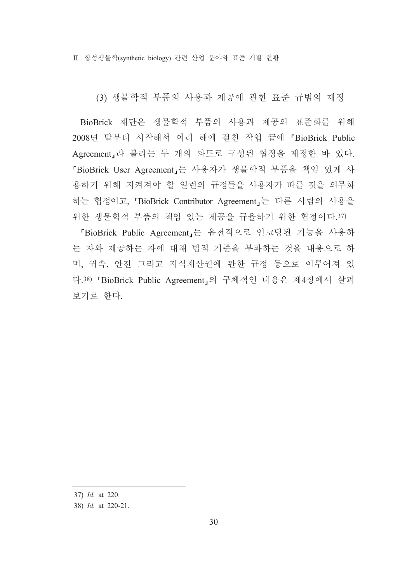Ⅱ. 합성생물학(svnthetic biology) 관련 산업 분야와 표준 개발 현황

(3) 생물학적 부품의 사용과 제공에 관한 표준 규범의 제정

BioBrick 재단은 생물학적 부품의 사용과 제공의 표준화를 위해 2008년 말부터 시작해서 여러 해에 걸친 작업 끝에 『BioBrick Public Agreement」라 불리는 두 개의 파트로 구성된 협정을 제정한 바 있다. 『BioBrick User Agreement』는 사용자가 생물학적 부품을 책임 있게 사 용하기 위해 지켜져야 할 일련의 규정들을 사용자가 따를 것을 의무화 하는 협정이고, 「BioBrick Contributor Agreement」는 다른 사람의 사용을 위한 생물학적 부품의 책임 있는 제공을 규율하기 위한 협정이다.37)

「BioBrick Public Agreement」는 유전적으로 인코딩된 기능을 사용하 는 자와 제공하는 자에 대해 법적 기준을 부과하는 것을 내용으로 하 며, 귀속, 안전 그리고 지식재산권에 관한 규정 등으로 이루어져 있 다.38) 「BioBrick Public Agreement」의 구체적인 내용은 제4장에서 살펴 보기로 한다.

<sup>37)</sup> Id. at 220.

<sup>38)</sup> Id. at 220-21.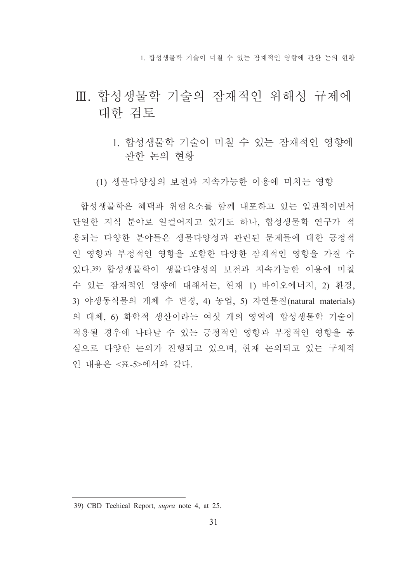1. 합성생물학 기술이 미칠 수 있는 잠재적인 영향에 관한 논의 현황

## Ⅲ. 합성생물학 기술의 잠재적인 위해성 규제에 대한 검토

1. 합성생물학 기술이 미칠 수 있는 잠재적인 영향에 관한 논의 현황

(1) 생물다양성의 보전과 지속가능한 이용에 미치는 영향

합성생물학은 혜택과 위험요소를 함께 내포하고 있는 일관적이면서 단일한 지식 분야로 일컬어지고 있기도 하나, 합성생물학 연구가 적 용되는 다양한 분야들은 생물다양성과 관련된 문제들에 대한 긍정적 인 영향과 부정적인 영향을 포함한 다양한 잠재적인 영향을 가질 수 있다 39) 합성생물학이 생물다양성의 보전과 지속가능한 이용에 미칠 수 있는 잠재적인 영향에 대해서는, 현재 1) 바이오에너지, 2) 환경, 3) 야생동식물의 개체 수 변경, 4) 농업, 5) 자연물질(natural materials) 의 대체, 6) 화학적 생산이라는 여섯 개의 영역에 합성생물학 기술이 적용될 경우에 나타날 수 있는 긍정적인 영향과 부정적인 영향을 중 심으로 다양한 논의가 진행되고 있으며, 현재 논의되고 있는 구체적 이 내용은 <표-5>에서와 같다.

<sup>39)</sup> CBD Techical Report, supra note 4, at 25.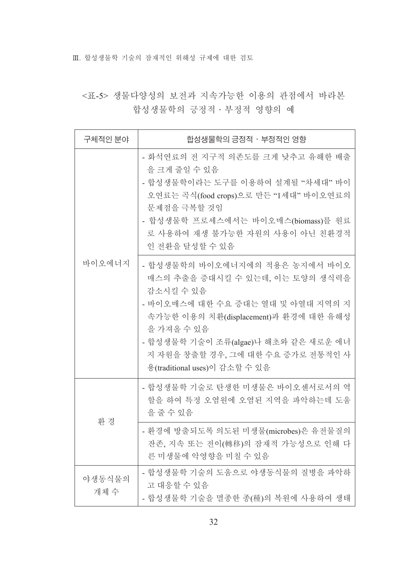Ⅲ. 합성생물학 기술의 잠재적인 위해성 규제에 대한 검토

## <표-5> 생물다양성의 보전과 지속가능한 이용의 관점에서 바라본 합성생물학의 긍정적 · 부정적 영향의 예

| 구체적인 분야       | 합성생물학의 긍정적 ㆍ부정적인 영향                                                                                                                                                                                                                                                                      |
|---------------|------------------------------------------------------------------------------------------------------------------------------------------------------------------------------------------------------------------------------------------------------------------------------------------|
| 바이오에너지        | - 화석연료의 전 지구적 의존도를 크게 낮추고 유해한 배출<br>을 크게 줄일 수 있음<br>- 합성생물학이라는 도구를 이용하여 설계될 "차세대" 바이<br>오연료는 곡식(food crops)으로 만든 "1세대" 바이오연료의<br>문제점을 극복할 것임<br>- 합성생물학 프로세스에서는 바이오매스(biomass)를 원료<br>로 사용하여 재생 불가능한 자원의 사용이 아닌 친환경적<br>인 전환을 달성할 수 있음                                                   |
|               | - 합성생물학의 바이오에너지에의 적용은 농지에서 바이오<br>매스의 추출을 증대시킬 수 있는데, 이는 토양의 생식력을<br>감소시킬 수 있음<br>- 바이오매스에 대한 수요 증대는 열대 및 아열대 지역의 지<br>속가능한 이용의 치환(displacement)과 환경에 대한 유해성<br>을 가져올 수 있음<br>- 합성생물학 기술이 조류(algae)나 해초와 같은 새로운 에너<br>지 자원을 창출할 경우, 그에 대한 수요 증가로 전통적인 사<br>용(traditional uses)이 감소할 수 있음 |
|               | - 합성생물학 기술로 탄생한 미생물은 바이오센서로서의 역<br>할을 하여 특정 오염원에 오염된 지역을 파악하는데 도움<br>을 줄 수 있음                                                                                                                                                                                                            |
| 환 경           | - 환경에 방출되도록 의도된 미생물(microbes)은 유전물질의<br>잔존, 지속 또는 전이(轉移)의 잠재적 가능성으로 인해 다<br>른 미생물에 악영향을 미칠 수 있음                                                                                                                                                                                          |
| 야생동식물의<br>개체수 | - 합성생물학 기술의 도움으로 야생동식물의 질병을 파악하<br>고 대응할 수 있음<br>- 합성생물학 기술을 멸종한 종(種)의 복원에 사용하여 생태                                                                                                                                                                                                       |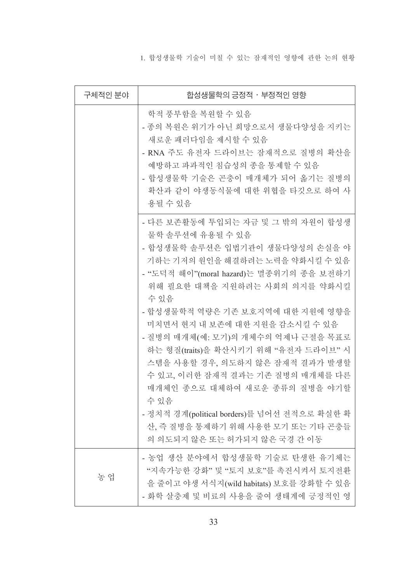1. 합성생물학 기술이 미칠 수 있는 잠재적인 영향에 관한 논의 현황

| 구체적인 분야 | 합성생물학의 긍정적 · 부정적인 영향                                                                                                                                                                                                                                                                                                                                                                                                                                                                                                                                                                                   |
|---------|--------------------------------------------------------------------------------------------------------------------------------------------------------------------------------------------------------------------------------------------------------------------------------------------------------------------------------------------------------------------------------------------------------------------------------------------------------------------------------------------------------------------------------------------------------------------------------------------------------|
|         | 학적 풍부함을 복원할 수 있음<br>- 종의 복원은 위기가 아닌 희망으로서 생물다양성을 지키는<br>새로운 패러다임을 제시할 수 있음<br>- RNA 주도 유전자 드라이브는 잠재적으로 질병의 확산을<br>예방하고 파과적인 침습성의 종을 통제할 수 있음<br>- 합성생물학 기술은 곤충이 매개체가 되어 옮기는 질병의<br>확산과 같이 야생동식물에 대한 위협을 타깃으로 하여 사<br>용될 수 있음                                                                                                                                                                                                                                                                                                                                                                           |
|         | - 다른 보존활동에 투입되는 자금 및 그 밖의 자원이 합성생<br>물학 솔루션에 유용될 수 있음<br>- 합성생물학 솔루션은 입법기관이 생물다양성의 손실을 야<br>기하는 기저의 원인을 해결하려는 노력을 약화시킬 수 있음<br>- "도덕적 해이"(moral hazard)는 멸종위기의 종을 보전하기<br>위해 필요한 대책을 지원하려는 사회의 의지를 약화시킬<br>수 있음<br>- 합성생물학적 역량은 기존 보호지역에 대한 지원에 영향을<br>미치면서 현지 내 보존에 대한 지원을 감소시킬 수 있음<br>- 질병의 매개체(예: 모기)의 개체수의 억제나 근절을 목표로<br>하는 형질(traits)을 확산시키기 위해 "유전자 드라이브" 시<br>스템을 사용할 경우, 의도하지 않은 잠재적 결과가 발생할<br>수 있고, 이러한 잠재적 결과는 기존 질병의 매개체를 다른<br>매개체인 종으로 대체하여 새로운 종류의 질병을 야기할<br>수있음<br>- 정치적 경계(political borders)를 넘어선 전적으로 확실한 확<br>산, 즉 질병을 통제하기 위해 사용한 모기 또는 기타 곤충들<br>의 의도되지 않은 또는 허가되지 않은 국경 간 이동 |
| 농 업     | - 농업 생산 분야에서 합성생물학 기술로 탄생한 유기체는<br>"지속가능한 강화" 및 "토지 보호"를 촉진시켜서 토지전환<br>을 줄이고 야생 서식지(wild habitats) 보호를 강화할 수 있음<br>- 화학 살충제 및 비료의 사용을 줄여 생태계에 긍정적인 영                                                                                                                                                                                                                                                                                                                                                                                                                                                   |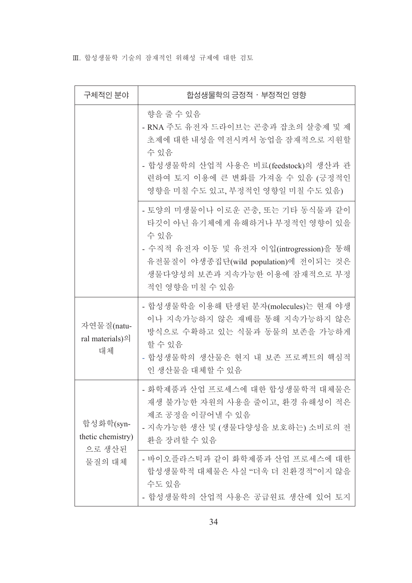Ⅲ. 합성생물학 기술의 잠재적인 위해성 규제에 대한 검토

| 구체적인 분야                                  | 합성생물학의 긍정적 ㆍ부정적인 영향                                                                                                                                                                                                 |
|------------------------------------------|---------------------------------------------------------------------------------------------------------------------------------------------------------------------------------------------------------------------|
|                                          | 향을 줄 수 있음<br>- RNA 주도 유전자 드라이브는 곤충과 잡초의 살충제 및 제<br>초제에 대한 내성을 역전시켜서 농업을 잠재적으로 지원할<br>수 있음<br>- 합성생물학의 산업적 사용은 비료(feedstock)의 생산과 관<br>련하여 토지 이용에 큰 변화를 가져올 수 있음 (긍정적인<br>영향을 미칠 수도 있고, 부정적인 영향일 미칠 수도 있음)           |
|                                          | - 토양의 미생물이나 이로운 곤충, 또는 기타 동식물과 같이<br>타깃이 아닌 유기체에게 유해하거나 부정적인 영향이 있을<br>수 있음<br>- 수직적 유전자 이동 및 유전자 이입(introgression)을 통해<br>유전물질이 야생종집단(wild population)에 전이되는 것은<br>생물다양성의 보존과 지속가능한 이용에 잠재적으로 부정<br>적인 영향을 미칠 수 있음 |
| 자연물질(natu-<br>ral materials)의<br>대체      | - 합성생물학을 이용해 탄생된 분자(molecules)는 현재 야생<br>이나 지속가능하지 않은 재배를 통해 지속가능하지 않은<br>방식으로 수확하고 있는 식물과 동물의 보존을 가능하게<br>할 수 있음<br>- 합성생물학의 생산물은 현지 내 보존 프로젝트의 핵심적<br>인 생산물을 대체할 수 있음                                             |
| 합성화학(syn-<br>thetic chemistry)<br>으로 생산된 | - 화학제품과 산업 프로세스에 대한 합성생물학적 대체물은<br>재생 불가능한 자원의 사용을 줄이고, 환경 유해성이 적은<br>제조 공정을 이끌어낼 수 있음<br>- 지속가능한 생산 및 (생물다양성을 보호하는) 소비로의 전<br>환을 장려할 수 있음                                                                          |
| 물질의 대체                                   | - 바이오플라스틱과 같이 화학제품과 산업 프로세스에 대한<br>합성생물학적 대체물은 사실 "더욱 더 친환경적"이지 않을<br>수도 있음<br>- 합성생물학의 산업적 사용은 공급원료 생산에 있어 토지                                                                                                      |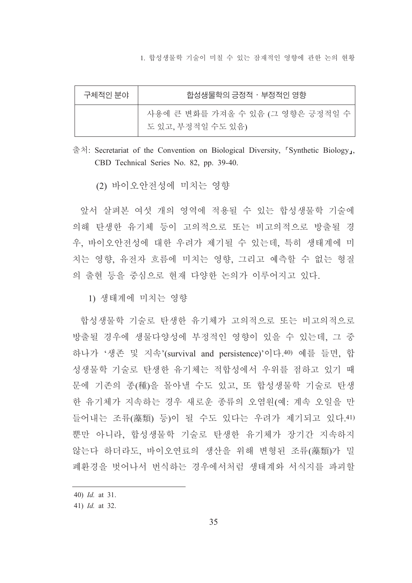1. 합성생물학 기술이 미칠 수 있는 잠재적인 영향에 관한 논의 현황

| 구체적인 분야 | 합성생물학의 긍정적 · 부정적인 영향                                    |
|---------|---------------------------------------------------------|
|         | 사용에 큰 변화를 가져올 수 있음 (그 영향은 긍정적일 수  <br>도 있고, 부정적일 수도 있음) |

출처: Secretariat of the Convention on Biological Diversity. [Synthetic Biology]. CBD Technical Series No. 82, pp. 39-40.

(2) 바이오안전성에 미치는 영향

앞서 살펴본 여섯 개의 영역에 적용될 수 있는 합성생물학 기술에 의해 탄생한 유기체 등이 고의적으로 또는 비고의적으로 방출될 경 우, 바이오안전성에 대한 우려가 제기될 수 있는데, 특히 생태계에 미 치는 영향, 유전자 흐름에 미치는 영향, 그리고 예측할 수 없는 형질 의 출현 등을 중심으로 현재 다양한 논의가 이루어지고 있다.

1) 생태계에 미치는 영향

합성생물학 기술로 탄생한 유기체가 고의적으로 또는 비고의적으로 방출될 경우에 생물다양성에 부정적인 영향이 있을 수 있는데. 그 중 하나가 '생존 및 지속'(survival and persistence)'이다.40) 예를 들면, 합 성생물학 기술로 탄생한 유기체는 적합성에서 우위를 점하고 있기 때 문에 기존의 종(種)을 몰아낼 수도 있고, 또 합성생물학 기술로 탄생 한 유기체가 지속하는 경우 새로운 종류의 오염원(예: 계속 오일을 만 들어내는 조류(藻類) 등)이 될 수도 있다는 우려가 제기되고 있다. 41) 뿐만 아니라, 합성생물학 기술로 탄생한 유기체가 장기간 지속하지 않는다 하더라도. 바이오여료의 생산을 위해 변형된 조류(藻類)가 밀 폐환경을 벗어나서 번식하는 경우에서처럼 생태계와 서식지를 파괴할

<sup>40)</sup>  $Id.$  at 31.

<sup>41)</sup> *Id.* at 32.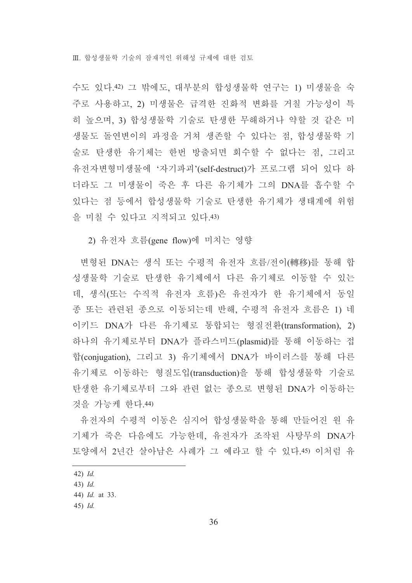수도 있다.42) 그 밖에도, 대부분의 합성생물학 연구는 1) 미생물을 숙 주로 사용하고, 2) 미생물은 급격한 진화적 변화를 거칠 가능성이 특 히 높으며, 3) 합성생물학 기술로 탄생한 무해하거나 약할 것 같은 미 생물도 돌연변이의 과정을 거쳐 생존할 수 있다는 점, 합성생물학 기 술로 탄생한 유기체는 한번 방출되면 회수할 수 없다는 점, 그리고 유전자변형미생물에 '자기파괴'(self-destruct)가 프로그램 되어 있다 하 더라도 그 미생물이 죽은 후 다른 유기체가 그의 DNA를 흡수할 수 있다는 점 등에서 합성생물학 기술로 탄생한 유기체가 생태계에 위험 을 미칠 수 있다고 지적되고 있다.43)

2) 유전자 흐름(gene flow)에 미치는 영향

변형된 DNA는 생식 또는 수평적 유전자 흐름/전이(轉移)를 통해 합 성생물학 기술로 탄생한 유기체에서 다른 유기체로 이동할 수 있는 데, 생식(또는 수직적 유전자 흐름)은 유전자가 한 유기체에서 동일 종 또는 관련된 종으로 이동되는데 반해, 수평적 유전자 흐름은 1) 네 이키드 DNA가 다른 유기체로 통합되는 형질전환(transformation), 2) 하나의 유기체로부터 DNA가 플라스미드(plasmid)를 통해 이동하는 접 합(conjugation), 그리고 3) 유기체에서 DNA가 바이러스를 통해 다른 유기체로 이동하는 형질도입(transduction)을 통해 합성생물학 기술로 탄생한 유기체로부터 그와 관련 없는 종으로 변형된 DNA가 이동하는 것을 가능케 한다.44)

유전자의 수평적 이동은 심지어 합성생물학을 통해 만들어진 원 유 기체가 죽은 다음에도 가능한데, 유전자가 조작된 사탕무의 DNA가 토양에서 2년간 살아남은 사례가 그 예라고 할 수 있다.45) 이처럼 유

 $42)$  *Id.* 

 $43)$  *Id.* 

<sup>44)</sup> Id. at 33.

 $45)$  *Id.*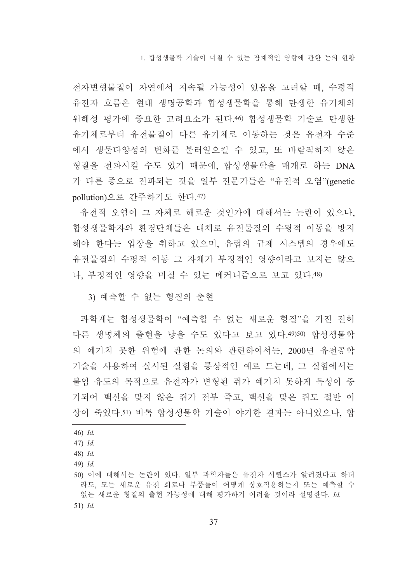1. 합성생물학 기술이 미칠 수 있는 잠재적인 영향에 관한 논의 현황

전자변형물질이 자연에서 지속될 가능성이 있음을 고려할 때, 수평적 유전자 흐름은 현대 생명공학과 합성생물학을 통해 탄생한 유기체의 위해성 평가에 중요한 고려요소가 된다.46) 합성생물학 기술로 탄생한 유기체로부터 유전물질이 다른 유기체로 이동하는 것은 유전자 수준 에서 생물다양성의 변화를 불러일으킬 수 있고, 또 바람직하지 않은 형질을 전파시킬 수도 있기 때문에, 합성생물학을 매개로 하는 DNA 가 다른 종으로 전파되는 것을 일부 전문가들은 "유전적 오염"(genetic pollution)으로 간주하기도 한다.47)

유전적 오염이 그 자체로 해로운 것인가에 대해서는 논란이 있으나, 합성생물학자와 환경단체들은 대체로 유전물질의 수평적 이동을 방지 해야 한다는 입장을 취하고 있으며, 유럽의 규제 시스템의 경우에도 유전물질의 수평적 이동 그 자체가 부정적인 영향이라고 보지는 않으 나, 부정적인 영향을 미칠 수 있는 메커니즘으로 보고 있다.48)

3) 예측할 수 없는 형질의 출현

과학계는 합성생물학이 "예측할 수 없는 새로운 형질"을 가진 전혀 다른 생명체의 출현을 낳을 수도 있다고 보고 있다.49)50) 합성생물학 의 예기치 못한 위험에 관한 논의와 관련하여서는, 2000년 유전공학 기술을 사용하여 실시된 실험을 통상적인 예로 드는데, 그 실험에서는 불임 유도의 목적으로 유전자가 변형된 쥐가 예기치 못하게 독성이 증 가되어 백신을 맞지 않은 쥐가 전부 죽고, 백신을 맞은 쥐도 절반 이 상이 죽었다.51) 비록 합성생물학 기술이 야기한 결과는 아니었으나. 합

 $46)$  *Id.* 

 $47)$  *Id.* 

<sup>48)</sup> Id.

 $49)$  *Id.* 

<sup>50)</sup> 이에 대해서는 논란이 있다. 일부 과학자들은 유전자 시퀀스가 알려졌다고 하더 라도, 모든 새로운 유전 회로나 부품들이 어떻게 상호작용하는지 또는 예측할 수 없는 새로운 형질의 출현 가능성에 대해 평가하기 어려울 것이라 설명한다. Id.  $51)$  *Id.*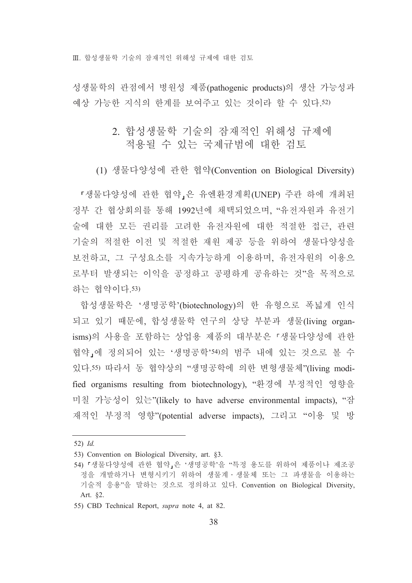Ⅲ. 합성생물학 기술의 잠재적인 위해성 규제에 대한 검토

성생물학의 관점에서 병원성 제품(pathogenic products)의 생산 가능성과 예상 가능한 지식의 한계를 보여주고 있는 것이라 할 수 있다.52)

# 2. 합성생물학 기술의 잠재적인 위해성 규제에 적용될 수 있는 국제규범에 대한 검토

(1) 생물다양성에 관한 협약(Convention on Biological Diversity)

『생물다양성에 관한 협약』은 유엔환경계획(UNEP) 주관 하에 개최된 정부 간 협상회의를 통해 1992년에 채택되었으며. "유전자워과 유전기 술에 대한 모든 권리를 고려한 유전자원에 대한 적절한 접근, 관련 기술의 적절한 이전 및 적절한 재워 제공 등을 위하여 생물다양성을 보전하고, 그 구성요소를 지속가능하게 이용하며, 유전자원의 이용으 로부터 발생되는 이익을 공정하고 공평하게 공유하는 것"을 목적으로 하는 협약이다.53)

합성생물학은 '생명공학'(biotechnology)의 한 유형으로 폭넓게 인식 되고 있기 때문에, 합성생물학 연구의 상당 부분과 생물(living organisms)의 사용을 포함하는 상업용 제품의 대부분은 「생물다양성에 관한 협약,에 정의되어 있는 '생명공학'54)의 범주 내에 있는 것으로 볼 수 있다.55) 따라서 동 협약상의 "생명공학에 의한 변형생물체"(living modified organisms resulting from biotechnology), "환경에 부정적인 영향을 미칠 가능성이 있는"(likely to have adverse environmental impacts), "잠 재적인 부정적 영향"(potential adverse impacts), 그리고 "이용 및 방

 $52)$  *Id.* 

<sup>53)</sup> Convention on Biological Diversity, art. §3.

<sup>54) 『</sup>생물다양성에 관한 협약』은 '생명공학'을 "특정 용도를 위하여 제품이나 제조공 정을 개발하거나 변형시키기 위하여 생물계 · 생물체 또는 그 파생물을 이용하는 기술적 응용"을 말하는 것으로 정의하고 있다. Convention on Biological Diversity, Art. §2.

<sup>55)</sup> CBD Technical Report, *supra* note 4, at 82.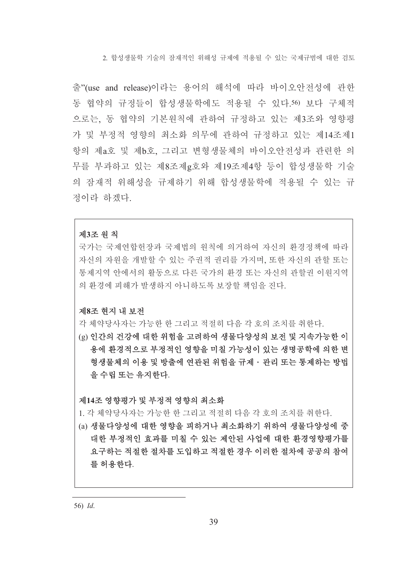2 함성생물학 기술의 잠재적인 위해성 규제에 적용될 수 있는 국제규범에 대한 검토

출"(use and release)이라는 용어의 해석에 따라 바이오아저성에 과하 동 협약의 규정들이 합성생물학에도 적용될 수 있다.50 보다 구체적 으로는, 동 협약의 기본원칙에 관하여 규정하고 있는 제3조와 영향평 가 및 부정적 영향의 최소화 의무에 관하여 규정하고 있는 제14조제1 항의 제a호 및 제b호, 그리고 변형생물체의 바이오안전성과 관련한 의 무를 부과하고 있는 제8조제g호와 제19조제4항 등이 합성생물학 기술 의 잠재적 위해성을 규제하기 위해 합성생물학에 적용될 수 있는 규 정이라 하겠다.

### 제3조 원칙

국가는 국제여합헌장과 국제법의 원칙에 의거하여 자신의 화경정책에 따라 자신의 자워을 개발할 수 있는 주권적 권리를 가지며, 또한 자신의 관할 또는 통제지역 안에서의 활동으로 다른 국가의 환경 또는 자신의 관할권 이원지역 의 화경에 피해가 발생하지 아니하도록 보장할 책임을 진다.

### 제8조 현지 내 보전

각 체약당사자는 가능한 한 그리고 적절히 다음 각 호의 조치를 취하다

(g) 인간의 건강에 대한 위험을 고려하여 생물다양성의 보전 및 지속가능한 이 용에 화경적으로 부정적인 영향을 미칠 가능성이 있는 생명공학에 의한 변 형생물체의 이용 및 방출에 연관된 위험을 규제 · 관리 또는 통제하는 방법 을 수립 또는 유지한다.

제14조 영향평가 및 부정적 영향의 최소화

1. 각 체약당사자는 가능한 한 그리고 적절히 다음 각 호의 조치를 취한다.

(a) 생물다양성에 대한 영향을 피하거나 최소화하기 위하여 생물다양성에 중 대한 부정적인 효과를 미칠 수 있는 제안된 사업에 대한 환경영향평가를 요구하는 적절한 절차를 도입하고 적절한 경우 이러한 절차에 공공의 참여 를 허용한다.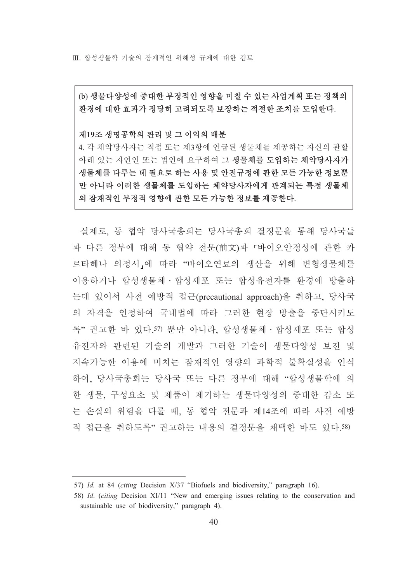Ⅲ 합성생물학 기술의 잠재적인 위해성 규제에 대한 검토

(b) 생물다양성에 중대한 부정적인 영향을 미칠 수 있는 사업계획 또는 정책의 환경에 대한 효과가 정당히 고려되도록 보장하는 적절한 조치를 도입한다.

### 제19조 생명공학의 관리 및 그 이익의 배분

4. 각 체약당사자는 직접 또는 제3항에 언급된 생물체를 제공하는 자신의 관할 아래 있는 자연인 또는 법인에 요구하여 그 생물체를 도입하는 체약당사자가 생물체를 다루는 데 필요로 하는 사용 및 안전규정에 관한 모든 가능한 정보뿐 만 아니라 이러한 생물체를 도입하는 체약당사자에게 관계되는 특정 생물체 의 잠재적인 부정적 영향에 관한 모든 가능한 정보를 제공한다.

실제로 동 협약 당사국총회는 당사국총회 결정문을 통해 당사국들 과 다른 정부에 대해 동 협약 전문(前文)과 『바이오안정성에 관한 카 르타헤나 의정서,에 따라 "바이오연료의 생산을 위해 변형생물체를 이용하거나 합성생물체 • 합성세포 또는 합성유전자를 환경에 방출하 는데 있어서 사전 예방적 접근(precautional approach)을 취하고, 당사국 의 자격을 인정하여 국내법에 따라 그러한 현장 방출을 중단시키도 록" 권고한 바 있다.57) 뿌만 아니라 합성생물체 • 합성세포 또는 합성 유전자와 관련된 기술의 개발과 그러한 기술이 생물다양성 보전 및 지속가능한 이용에 미치는 잠재적인 영향의 과학적 불확실성을 인식 하여. 당사국총회는 당사국 또는 다른 정부에 대해 "합성생물학에 의 한 생물, 구성요소 및 제품이 제기하는 생물다양성의 중대한 감소 또 는 손실의 위험을 다룰 때, 동 협약 전문과 제14조에 따라 사전 예방 적 접근을 취하도록" 권고하는 내용의 결정문을 채택한 바도 있다.58)

<sup>57)</sup> Id. at 84 (citing Decision X/37 "Biofuels and biodiversity," paragraph 16).

<sup>58)</sup> Id. (citing Decision XI/11 "New and emerging issues relating to the conservation and sustainable use of biodiversity," paragraph 4).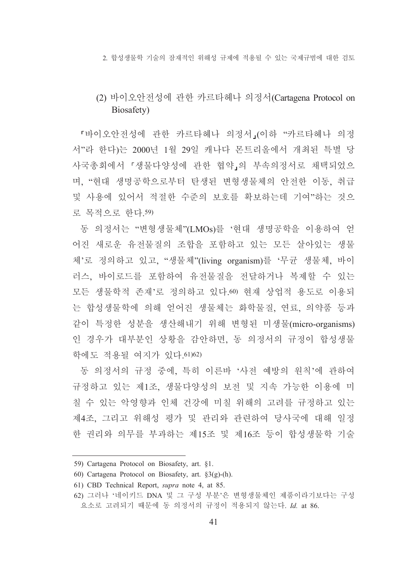2 함성생물학 기술의 잠재적인 위해성 규제에 적용될 수 있는 국제규범에 대한 검토

# (2) 바이오안전성에 관한 카르타헤나 의정서(Cartagena Protocol on Biosafety)

『바이오안전성에 관한 카르타헤나 의정서』(이하 "카르타헤나 의정 서"라 한다)는 2000년 1월 29일 캐나다 몬트리올에서 개최된 특별 당 사국총회에서 「생물다양성에 관한 협약」의 부속의정서로 채택되었으 며, "현대 생명공학으로부터 탄생된 변형생물체의 안전한 이동, 취급 및 사용에 있어서 적절한 수준의 보호를 확보하는데 기여"하는 것으 로 목적으로 한다.59)

동 의정서는 "변형생물체"(LMOs)를 '현대 생명공학을 이용하여 얻 어진 새로운 유전물질의 조합을 포함하고 있는 모든 살아있는 생물 체'로 정의하고 있고, "생물체"(living organism)를'무균 생물체, 바이 러스. 바이로드를 포함하여 유저물질을 전달하거나 복제할 수 있는 모든 생물학적 존재'로 정의하고 있다.60) 현재 상업적 용도로 이용되 는 합성생물학에 의해 얻어진 생물체는 화학물질, 연료, 의약품 등과 같이 특정한 성분을 생산해내기 위해 변형된 미생물(micro-organisms) 인 경우가 대부분인 상황을 감안하면, 동 의정서의 규정이 합성생물 학에도 적용될 여지가 있다. 61) 62)

동 의정서의 규정 중에, 특히 이른바 '사전 예방의 원칙'에 관하여 규정하고 있는 제1조, 생물다양성의 보전 및 지속 가능한 이용에 미 칠 수 있는 악영향과 인체 건강에 미칠 위해의 고려를 규정하고 있는 제4조, 그리고 위해성 평가 및 관리와 관련하여 당사국에 대해 일정 한 권리와 의무를 부과하는 제15조 및 제16조 등이 합성생물학 기술

<sup>59)</sup> Cartagena Protocol on Biosafety, art. §1.

<sup>60)</sup> Cartagena Protocol on Biosafety, art.  $\S3(g)$ -(h).

<sup>61)</sup> CBD Technical Report, *supra* note 4, at 85.

<sup>62)</sup> 그러나 '네이키드 DNA 및 그 구성 부분'은 변형생물체인 제품이라기보다는 구성 요소로 고려되기 때문에 동 의정서의 규정이 적용되지 않는다. Id. at 86.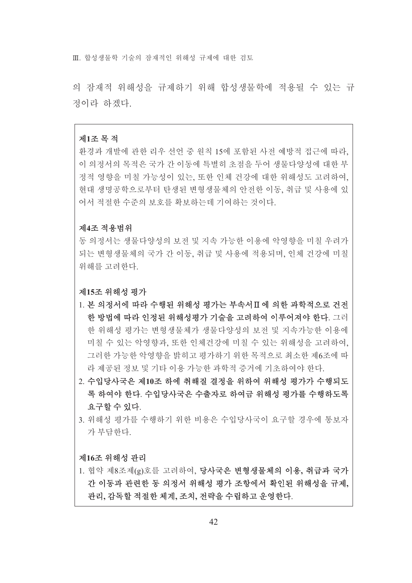Ⅲ 합성생물학 기술의 잠재적인 위해성 규제에 대한 검토

의 잠재적 위해성을 규제하기 위해 합성생물학에 적용될 수 있는 규 정이라 하겠다.

### 제1조 목 적

환경과 개발에 관한 리우 선언 중 원칙 15에 포함된 사전 예방적 접근에 따라. 이 의정서의 목적은 국가 간 이동에 특별히 초점을 두어 생물다양성에 대한 부 정적 영향을 미칠 가능성이 있는, 또한 인체 건강에 대한 위해성도 고려하여, 현대 생명공학으로부터 탄생된 변형생물체의 안전한 이동, 취급 및 사용에 있 어서 적절한 수준의 보호를 확보하는데 기여하는 것이다.

### 제4조 적용범위

동 의정서는 생물다양성의 보전 및 지속 가능한 이용에 악영향을 미칠 우려가 되는 변형생물체의 국가 간 이동, 취급 및 사용에 적용되며, 인체 건강에 미칠 위해를 고려하다.

### 제15조 위해성 평가

- 1. 본 의정서에 따라 수행된 위해성 평가는 부속서Ⅱ에 의한 과학적으로 건전 한 방법에 따라 인정된 위해성평가 기술을 고려하여 이루어져야 한다. 그러 한 위해성 평가는 변형생물체가 생물다양성의 보저 및 지속가능한 이용에 미칠 수 있는 악영향과. 또한 인체건강에 미칠 수 있는 위해성을 고려하여. 그러한 가능한 악영향을 밝히고 평가하기 위한 목적으로 최소한 제6조에 따 라 제공된 정보 및 기타 이용 가능한 과학적 증거에 기초하여야 한다.
- 2. 수입당사국은 제10조 하에 취해질 결정을 위하여 위해성 평가가 수행되도 록 하여야 한다. 수입당사국은 수출자로 하여금 위해성 평가를 수행하도록 요구할 수 있다.
- 3. 위해성 평가를 수행하기 위한 비용은 수입당사국이 요구할 경우에 통보자 가 부담한다.

### 제16조 위해성 관리

1. 협약 제8조제(g)호를 고려하여, 당사국은 변형생물체의 이용, 취급과 국가 간 이동과 과려하 동 의정서 위해성 평가 조항에서 확인된 위해성을 규제. 관리, 감독할 적절한 체계, 조치, 전략을 수립하고 운영한다.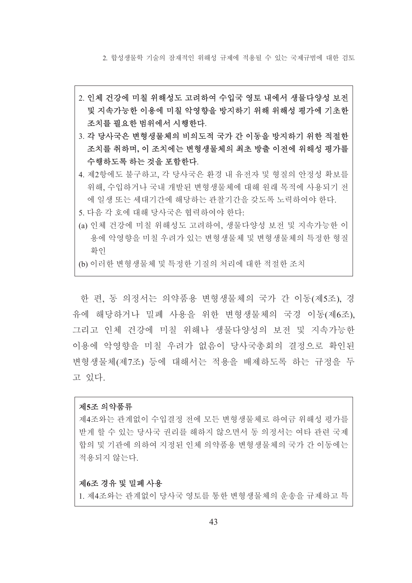2 함성생물학 기술의 잠재적인 위해성 규제에 적용될 수 있는 국제규범에 대한 검토

- 2. 인체 건강에 미칠 위해성도 고려하여 수입국 영토 내에서 생물다양성 보전 및 지속가능한 이용에 미칠 악영향을 방지하기 위해 위해성 평가에 기초한 조치를 필요한 범위에서 시행한다.
- 3. 각 당사국은 변형생물체의 비의도적 국가 간 이동을 방지하기 위한 적절한 조치를 취하며, 이 조치에는 변형생물체의 최초 방출 이전에 위해성 평가를 수행하도록 하는 것을 포함한다.
- 4. 제2항에도 불구하고, 각 당사국은 환경 내 유전자 및 형질의 안정성 확보를 위해, 수입하거나 국내 개발된 변형생물체에 대해 원래 목적에 사용되기 전 에 일생 또는 세대기간에 해당하는 관찰기간을 갖도록 노력하여야 하다.
- 5. 다음 각 호에 대해 당사국은 협력하여야 한다:
- (a) 인체 건강에 미칠 위해성도 고려하여, 생물다양성 보전 및 지속가능한 이 용에 악영향을 미칠 우려가 있는 변형생물체 및 변형생물체의 특정한 형질 확인
- (b) 이러한 변형생물체 및 특정한 기질의 처리에 대한 적절한 조치

한 편, 동 의정서는 의약품용 변형생물체의 국가 간 이동(제5조), 경 유에 해당하거나 밀폐 사용을 위한 변형생물체의 국경 이동(제6조). 그리고 인체 건강에 미칠 위해나 생물다양성의 보전 및 지속가능한 이용에 악영향을 미칠 우려가 없음이 당사국총회의 결정으로 확인된 변형생물체(제7조) 등에 대해서는 적용을 배제하도록 하는 규정을 두 고 있다.

### 제5조 의약품류

제4조와는 관계없이 수입결정 전에 모든 변형생물체로 하여금 위해성 평가를 받게 할 수 있는 당사국 권리를 해하지 않으면서 동 의정서는 여타 관련 국제 합의 및 기관에 의하여 지정된 인체 의약품용 변형생물체의 국가 간 이동에는 적용되지 않는다.

### 제6조 경유 및 밀폐 사용

1. 제4조와는 관계없이 당사국 영토를 통한 변형생물체의 운송을 규제하고 특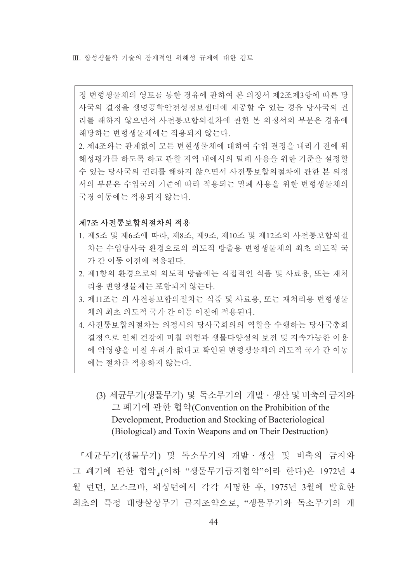Ⅲ 합성생물학 기술의 잠재적인 위해성 규제에 대한 검토

정 변형생물체의 영토를 통한 경유에 관하여 본 의정서 제2조제3항에 따른 당 사국의 결정을 생명공학안전성정보센터에 제공할 수 있는 경유 당사국의 권 리를 해하지 않으면서 사전통보합의절차에 관한 본 의정서의 부분은 경유에 해당하는 변형생물체에는 적용되지 않는다.

2. 제4조와는 관계없이 모든 변현생물체에 대하여 수입 결정을 내리기 전에 위 해성평가를 하도록 하고 관할 지역 내에서의 밀폐 사용을 위한 기준을 설정할 수 있는 당사국의 권리를 해하지 않으면서 사전통보합의절차에 관한 본 의정 서의 부분은 수입국의 기준에 따라 적용되는 밀폐 사용을 위한 변형생물체의 국경 이동에는 적용되지 않는다.

### 제7조 사전통보합의절차의 적용

- 1. 제5조 및 제6조에 따라, 제8조, 제9조, 제10조 및 제12조의 사전통보합의절 차는 수입당사국 화경으로의 의도적 방출용 변형생물체의 최초 의도적 국 가 간 이동 이전에 적용된다.
- 2. 제1항의 환경으로의 의도적 방출에는 직접적인 식품 및 사료용, 또는 재처 리용 변형생물체는 포함되지 않는다.
- 3. 제11조는 의 사전통보합의절차는 식품 및 사료용, 또는 재처리용 변형생물 체의 최초 의도적 국가 간 이동 이전에 적용된다.
- 4. 사전통보합의절차는 의정서의 당사국회의의 역할을 수행하는 당사국총회 결정으로 인체 건강에 미칠 위험과 생물다양성의 보전 및 지속가능한 이용 에 악영향을 미칠 우려가 없다고 확인된 변형생물체의 의도적 국가 간 이동 에는 절차를 적용하지 않는다.
	- (3) 세균무기(생물무기) 및 독소무기의 개발 생산 및 비축의 금지와 그 폐기에 관한 협약(Convention on the Prohibition of the Development, Production and Stocking of Bacteriological (Biological) and Toxin Weapons and on Their Destruction)

『세균무기(생물무기) 및 독소무기의 개발·생산 및 비축의 금지와 그 폐기에 관한 협약 (이하 "생물무기금지협약"이라 한다)은 1972년 4 월 런던, 모스크바, 워싱턴에서 각각 서명한 후, 1975년 3월에 발효한 최초의 특정 대량살상무기 금지조약으로. "생물무기와 독소무기의 개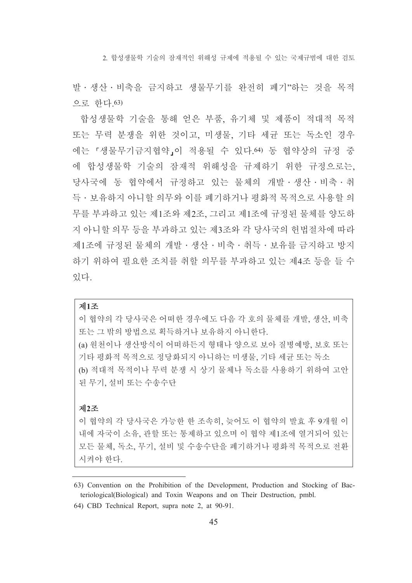2 함성생물학 기술의 잠재적인 위해성 규제에 적용될 수 있는 국제규범에 대한 검토

발 · 생산 · 비축을 금지하고 생물무기를 완전히 폐기"하는 것을 목적 ㅇ로 하다 63)

합성생물학 기술을 통해 얻은 부품, 유기체 및 제품이 적대적 목적 또는 무력 분쟁을 위한 것이고, 미생물, 기타 세균 또는 독소인 경우 에는 『생물무기금지협약』이 적용될 수 있다. 64) 동 협약상의 규정 중 에 합성생물학 기술의 잠재적 위해성을 규제하기 위한 규정으로는, 당사국에 동 협약에서 규정하고 있는 물체의 개발 · 생산 · 비축 · 취 득 · 보유하지 아니할 의무와 이를 폐기하거나 평화적 목적으로 사용할 의 무를 부과하고 있는 제1조와 제2조, 그리고 제1조에 규정된 물체를 양도하 지 아니할 의무 등을 부과하고 있는 제3조와 각 당사국의 헌법절차에 따라 제1조에 규정된 물체의 개발 · 생산 · 비축 · 취득 · 보유를 금지하고 방지 하기 위하여 필요한 조치를 취할 의무를 부과하고 있는 제4조 등을 들 수 있다

## 제1조

이 협약의 각 당사국은 어떠한 경우에도 다음 각 호의 물체를 개발, 생산, 비축 또는 그 밖의 방법으로 획득하거나 보유하지 아니한다. (a) 원천이나 생산방식이 어떠하든지 형태나 양으로 보아 질병예방, 보호 또는 기타 평화적 목적으로 정당화되지 아니하는 미생물, 기타 세균 또는 독소 (b) 적대적 목적이나 무력 분쟁 시 상기 물체나 독소를 사용하기 위하여 고안 된 무기, 설비 또는 수송수단

### 제2조

이 협약의 각 당사국은 가능한 한 조속히, 늦어도 이 협약의 발효 후 9개월 이 내에 자국이 소유. 관할 또는 통제하고 있으며 이 협약 제1조에 열거되어 있는 모든 물체, 독소, 무기, 설비 및 수송수단을 폐기하거나 평화적 목적으로 전환 시켜야 한다.

<sup>63)</sup> Convention on the Prohibition of the Development, Production and Stocking of Bacteriological(Biological) and Toxin Weapons and on Their Destruction, pmbl.

<sup>64)</sup> CBD Technical Report, supra note 2, at 90-91.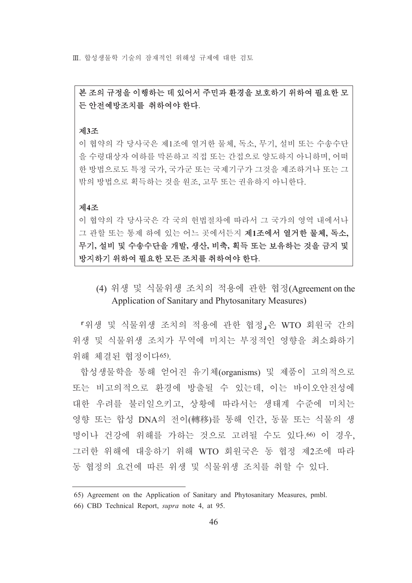Ⅲ 합성생물학 기술의 잠재적인 위해성 규제에 대한 검토

# 본 조의 규정을 이행하는 데 있어서 주민과 환경을 보호하기 위하여 필요한 모 든 안전예방조치를 취하여야 한다.

#### 제3조

이 협약의 각 당사국은 제1조에 열거한 물체, 독소, 무기, 설비 또는 수송수단 을 수령대상자 여하를 막론하고 직접 또는 간접으로 양도하지 아니하며 어떠 한 방법으로도 특정 국가, 국가군 또는 국제기구가 그것을 제조하거나 또는 그 밖의 방법으로 획득하는 것을 워조, 고무 또는 권유하지 아니한다.

#### 제4조

이 협약의 각 당사국은 각 국의 헌법절차에 따라서 그 국가의 영역 내에서나 그 관할 또는 통제 하에 있는 어느 곳에서든지 제1조에서 열거한 물체, 독소, 무기, 설비 및 수송수단을 개발, 생산, 비축, 획득 또는 보유하는 것을 금지 및 방지하기 위하여 필요한 모든 조치를 취하여야 한다.

(4) 위생 및 식물위생 조치의 적용에 관한 협정(Agreement on the Application of Sanitary and Phytosanitary Measures)

「위생 및 식물위생 조치의 적용에 관한 협정」은 WTO 회원국 간의 위생 및 식물위생 조치가 무역에 미치는 부정적인 영향을 최소화하기 위해 체결된 협정이다65)

합성생물학을 통해 얻어진 유기체(organisms) 및 제품이 고의적으로 또는 비고의적으로 환경에 방출될 수 있는데, 이는 바이오안전성에 대한 우려를 불러일으키고, 상황에 따라서는 생태계 수준에 미치는 영향 또는 합성 DNA의 전이(轉移)를 통해 인간, 동물 또는 식물의 생 명이나 건강에 위해를 가하는 것으로 고려될 수도 있다.66) 이 경우. 그러한 위해에 대응하기 위해 WTO 회원국은 동 협정 제2조에 따라 동 협정의 요건에 따른 위생 및 식물위생 조치를 취할 수 있다.

<sup>65)</sup> Agreement on the Application of Sanitary and Phytosanitary Measures, pmbl.

<sup>66)</sup> CBD Technical Report, *supra* note 4, at 95.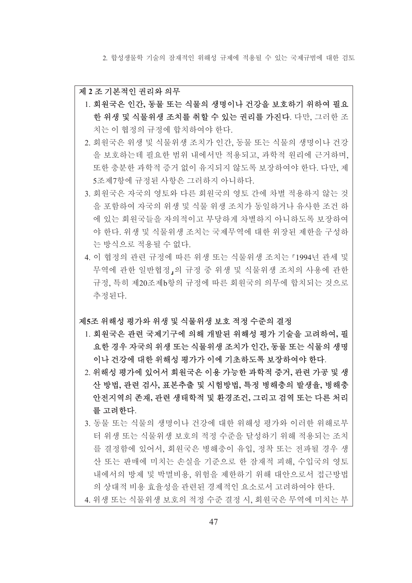2 함성생물학 기술의 잠재적인 위해성 규제에 적용될 수 있는 국제규범에 대한 검토

#### 제 2조기본적인 권리와 의무

- 1. 회원국은 인간, 동물 또는 식물의 생명이나 건강을 보호하기 위하여 필요 한 위생 및 식물위생 조치를 취할 수 있는 권리를 가진다. 다만, 그러한 조 치는 이 협정의 규정에 합치하여야 한다.
- 2. 회원국은 위생 및 식물위생 조치가 인간, 동물 또는 식물의 생명이나 건강 을 보호하는데 필요한 범위 내에서만 적용되고, 과학적 원리에 근거하며, 또한 충분한 과학적 증거 없이 유지되지 않도록 보장하여야 한다. 다만, 제 5조제7항에 규정된 사항은 그러하지 아니하다.
- 3. 회원국은 자국의 영토와 다른 회원국의 영토 간에 차별 적용하지 않는 것 을 포함하여 자국의 위생 및 식물 위생 조치가 동일하거나 유사한 조건 하 에 있는 회워국들을 자의적이고 부당하게 차별하지 아니하도록 보장하여 야 한다. 위생 및 식물위생 조치는 국제무역에 대한 위장된 제한을 구성하 는 방식으로 적용될 수 없다.
- 4. 이 협정의 관련 규정에 따른 위생 또는 식물위생 조치는 「1994년 관세 및 무역에 관한 일반협정」의 규정 중 위생 및 식물위생 조치의 사용에 관한 \_규정, 특히 제20조제b항의 규정에 따른 회원국의 의무에 합치되는 것으로 추정된다.

### 제5조 위해성 평가와 위생 및 식물위생 보호 적정 수준의 결정

- 1. 회원국은 관련 국제기구에 의해 개발된 위해성 평가 기술을 고려하여, 필 요한 경우 자국의 위생 또는 식물위생 조치가 인간, 동물 또는 식물의 생명 이나 건강에 대한 위해성 평가가 이에 기초하도록 보장하여야 한다.
- 2. 위해성 평가에 있어서 회원국은 이용 가능한 과학적 증거, 관련 가공 및 생 산 방법, 관련 검사, 표본추출 및 시험방법, 특정 병해충의 발생율, 병해충 안전지역의 존재, 관련 생태학적 및 환경조건, 그리고 검역 또는 다른 처리 를 고려한다.
- 3. 동물 또는 식물의 생명이나 건강에 대한 위해성 평가와 이러한 위해로부 터 위생 또는 식물위생 보호의 적정 수준을 달성하기 위해 적용되는 조치 를 결정함에 있어서, 회원국은 병해충이 유입, 정착 또는 전파될 경우 생 산 또는 판매에 미치는 손실을 기준으로 한 잠재적 피해, 수입국의 영토 내에서의 방제 및 박멸비용, 위험을 제한하기 위해 대안으로서 접근방법 의 상대적 비용 효율성을 관련된 경제적인 요소로서 고려하여야 한다.
- 4. 위생 또는 식물위생 보호의 적정 수준 결정 시, 회원국은 무역에 미치는 부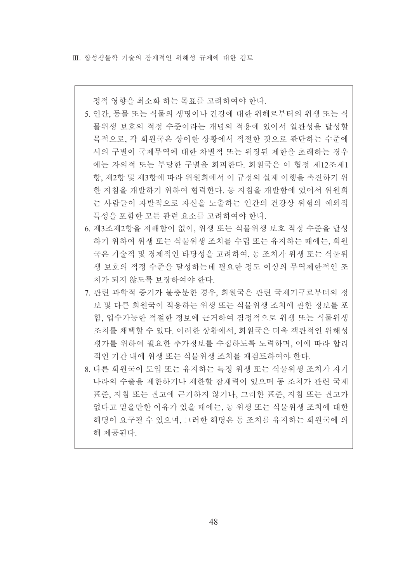정적 영향을 최소화 하는 목표를 고려하여야 한다.

- 5. 인간, 동물 또는 식물의 생명이나 건강에 대한 위해로부터의 위생 또는 식 물위생 보호의 적정 수주이라는 개념의 적용에 있어서 일관성을 달성할 목적으로, 각 회원국은 상이한 상황에서 적절한 것으로 판단하는 수준에 서의 구별이 국제무역에 대한 차별적 또는 위장된 제한을 초래하는 경우 에는 자의적 또는 부당한 구별을 회피하다. 회워국은 이 협정 제12조제1 항, 제2항 및 제3항에 따라 위원회에서 이 규정의 실제 이행을 촉진하기 위 한 지침을 개발하기 위하여 협력한다. 동 지침을 개발함에 있어서 위원회 는 사람들이 자발적으로 자신을 노출하는 인간의 건강상 위험의 예외적 특성을 포함한 모든 관련 요소를 고려하여야 한다.
- 6. 제3조제2항을 저해함이 없이, 위생 또는 식물위생 보호 적정 수준을 달성 하기 위하여 위생 또는 식물위생 조치를 수립 또는 유지하는 때에는, 회원 국은 기술적 및 경제적인 타당성을 고려하여, 동 조치가 위생 또는 식물위 생 보호의 적정 수준을 달성하는데 필요한 정도 이상의 무역제한적인 조 치가 되지 않도록 보장하여야 한다.
- 7. 관련 과학적 증거가 불충분한 경우, 회원국은 관련 국제기구로부터의 정 보 및 다른 회원국이 적용하는 위생 또는 식물위생 조치에 관한 정보를 포 함, 입수가능한 적절한 정보에 근거하여 잠정적으로 위생 또는 식물위생 조치를 채택할 수 있다. 이러한 상황에서, 회원국은 더욱 객관적인 위해성 평가를 위하여 필요한 추가정보를 수집하도록 노력하며, 이에 따라 합리 적인 기간 내에 위생 또는 식물위생 조치를 재검토하여야 한다.
- 8. 다른 회원국이 도입 또는 유지하는 특정 위생 또는 식물위생 조치가 자기 나라의 수출을 제한하거나 제한할 잠재력이 있으며 동 조치가 관련 국제 표준, 지침 또는 권고에 근거하지 않거나, 그러한 표준, 지침 또는 권고가 없다고 믿을만한 이유가 있을 때에는, 동 위생 또는 식물위생 조치에 대한 해명이 요구될 수 있으며, 그러한 해명은 동 조치를 유지하는 회원국에 의 해 제공된다.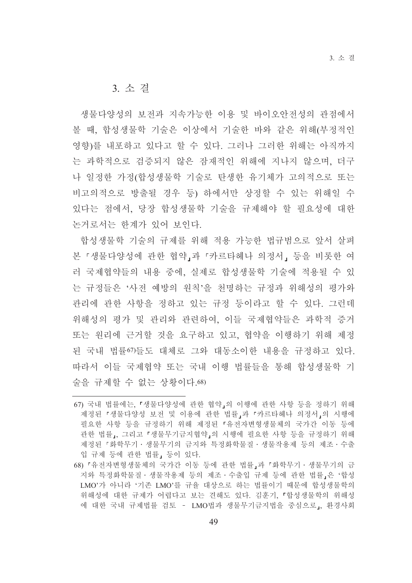# 3 소 결

생물다양성의 보전과 지속가능한 이용 및 바이오안전성의 관점에서 볼 때, 합성생물학 기술은 이상에서 기술한 바와 같은 위해(부정적인 영향)를 내포하고 있다고 할 수 있다. 그러나 그러한 위해는 아직까지 는 과학적으로 검증되지 않은 잠재적인 위해에 지나지 않으며, 더구 나 일정한 가정(합성생물학 기술로 탄생한 유기체가 고의적으로 또는 비고의적으로 방출될 경우 등) 하에서만 상정할 수 있는 위해일 수 있다는 점에서, 당장 합성생물학 기술을 규제해야 할 필요성에 대한 논거로서는 하계가 있어 보이다.

합성생물학 기술의 규제를 위해 적용 가능한 법규범으로 앞서 살펴 본『생물다양성에 관한 협약 과『카르타헤나 의정서』등을 비롯한 여 러 국제협약들의 내용 중에. 실제로 합성생물학 기술에 적용될 수 있 는 규정들은 '사전 예방의 원칙'을 천명하는 규정과 위해성의 평가와 관리에 관한 사항을 정하고 있는 규정 등이라고 할 수 있다. 그런데 위해성의 평가 및 관리와 관련하여, 이들 국제협약들은 과학적 증거 또는 워리에 근거할 것을 요구하고 있고, 협약을 이행하기 위해 제정 된 국내 법률67)들도 대체로 그와 대동소이한 내용을 규정하고 있다. 따라서 이들 국제협약 또는 국내 이행 법률들을 통해 합성생물학 기 술을 규제할 수 없는 상황이다 68)

<sup>67)</sup> 국내 법률에는, 『생물다양성에 관한 협약』의 이행에 관한 사항 등을 정하기 위해 제정된 「생물다양성 보전 및 이용에 관한 법률」과 「카르타헤나 의정서」의 시행에 필요한 사항 등을 규정하기 위해 제정된 『유전자변형생물체의 국가간 이동 등에 관한 법률」, 그리고『생물무기금지협약』의 시행에 필요한 사항 등을 규정하기 위해 제정된 『화학무기 · 생물무기의 금지와 특정화학물질 · 생물작용제 등의 제조 · 수출 입 규제 등에 관한 법률, 등이 있다.

<sup>68) 「</sup>유전자변형생물체의 국가간 이동 등에 관한 법률」과 「화학무기 · 생물무기의 금 지와 특정화학물질 · 생물작용제 등의 제조 · 수출입 규제 등에 관한 법률, 은 '합성 LMO'가 아니라 '기존 LMO'를 규율 대상으로 하는 법률이기 때문에 합성생물학의 위해성에 대한 규제가 어렵다고 보는 견해도 있다. 김훈기, 『합성생물학의 위해성 에 대한 국내 규제법률 검토 - LMO법과 생물무기금지법을 중심으로」, 환경사회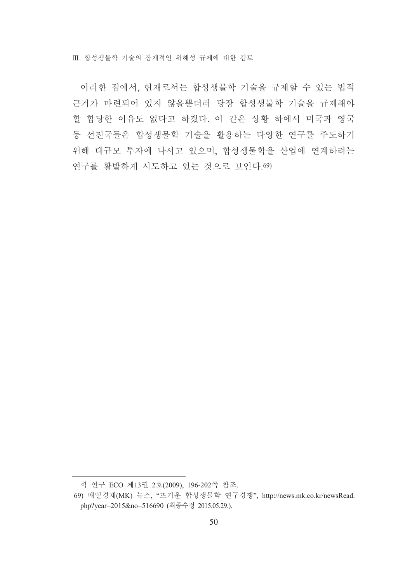Ⅲ. 합성생물학 기술의 잠재적인 위해성 규제에 대한 검토

이러한 점에서, 현재로서는 합성생물학 기술을 규제할 수 있는 법적 근거가 마련되어 있지 않을뿐더러 당장 합성생물학 기술을 규제해야 할 합당한 이유도 없다고 하겠다. 이 같은 상황 하에서 미국과 영국 등 선진국들은 합성생물학 기술을 활용하는 다양한 연구를 주도하기 위해 대규모 투자에 나서고 있으며, 합성생물학을 산업에 여계하려는 연구를 활발하게 시도하고 있는 것으로 보인다. 69)

학 연구 ECO 제13권 2호(2009), 196-202쪽 참조.

<sup>69)</sup> 매일경제(MK) 뉴스, "뜨거운 합성생물학 연구경쟁", http://news.mk.co.kr/newsRead. php?year=2015&no=516690 (최종수정 2015.05.29.).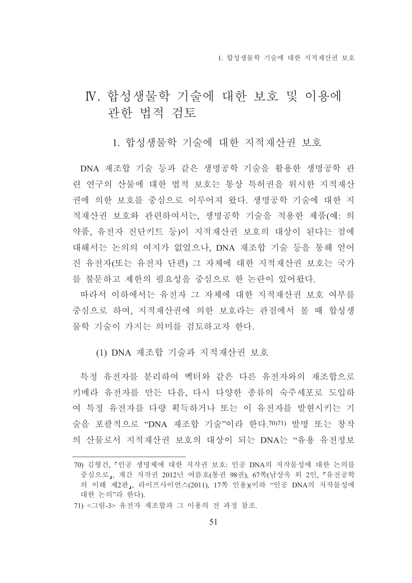# IV. 합성생물학 기술에 대한 보호 및 이용에 관한 법적 검토

1. 함성생물학 기술에 대한 지적재사권 보호

DNA 재조합 기술 등과 같은 생명공학 기술을 활용한 생명공학 관 련 연구의 산물에 대한 법적 보호는 통상 특허권을 위시한 지적재산 권에 의한 보호를 중심으로 이루어져 왔다. 생명공학 기술에 대한 지 적재산권 보호와 관련하여서는, 생명공학 기술을 적용한 제품(예: 의 약품, 유전자 진단키트 등)이 지적재산권 보호의 대상이 된다는 점에 대해서는 논의의 여지가 없었으나, DNA 재조합 기술 등을 통해 얻어 진 유전자(또는 유전자 단편) 그 자체에 대한 지적재산권 보호는 국가 를 불문하고 제한의 필요성을 중심으로 한 논란이 있어왔다.

따라서 이하에서는 유전자 그 자체에 대한 지적재산권 보호 여부를 중심으로 하여, 지적재산권에 의한 보호라는 관점에서 볼 때 합성생 물학 기술이 가지는 의미를 검토하고자 하다.

(1) DNA 재조합 기술과 지적재산권 보호

특정 유전자를 분리하여 벡터와 같은 다른 유전자와의 재조합으로 키메라 유전자를 만든 다음, 다시 다양한 종류의 숙주세포로 도입하 여 특정 유전자를 다량 획득하거나 또는 이 유전자를 발현시키는 기 술을 포괄적으로 "DNA 재조합 기술"이라 한다. 70)71) 발명 또는 창작 의 산물로서 지적재산권 보호의 대상이 되는 DNA는 "유용 유전정보

<sup>70)</sup> 김형건, 『인공 생명체에 대한 저작권 보호: 인공 DNA의 저작물성에 대한 논의를 중심으로」, 계간 저작권 2012년 여름호(통권 98권), 67쪽(남상욱 외 2인, 『유전공학 의 이해 제2판」, 라이프사이언스(2011), 17쪽 인용)(이하 "인공 DNA의 저작물성에 대한 논의"라 한다).

<sup>71) &</sup>lt;그림-3> 유전자 재조합과 그 이용의 전 과정 참조.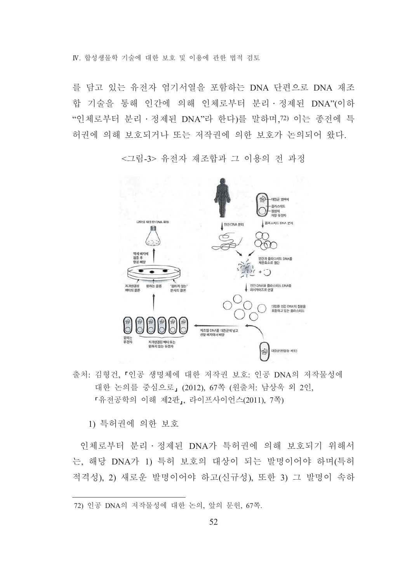IV 합성생물학 기술에 대한 보호 및 이용에 과한 법적 검토

를 담고 있는 유전자 염기서열을 포함하는 DNA 단편으로 DNA 재조 합 기술을 통해 인간에 의해 인체로부터 분리 · 정제된 DNA"(이하 "인체로부터 분리 · 정제된 DNA"라 한다)를 말하며,72) 이는 종전에 특 허권에 의해 보호되거나 또는 저작권에 의한 보호가 논의되어 왔다.



<그림-3> 유전자 재조합과 그 이용의 전 과정

출처: 김형건, 『인공 생명체에 대한 저작권 보호: 인공 DNA의 저작물성에 대한 논의를 중심으로, (2012), 67쪽 (원출처: 남상욱 외 2인, 「유전공학의 이해 제2판」 라이프사이언스(2011). 7쪽)

1) 특허권에 의한 보호

인체로부터 분리 · 정제된 DNA가 특허권에 의해 보호되기 위해서 는, 해당 DNA가 1) 특허 보호의 대상이 되는 발명이어야 하며(특허 적격성), 2) 새로운 발명이어야 하고(신규성), 또한 3) 그 발명이 속하

<sup>72)</sup> 인공 DNA의 저작물성에 대한 논의, 앞의 문헌, 67쪽.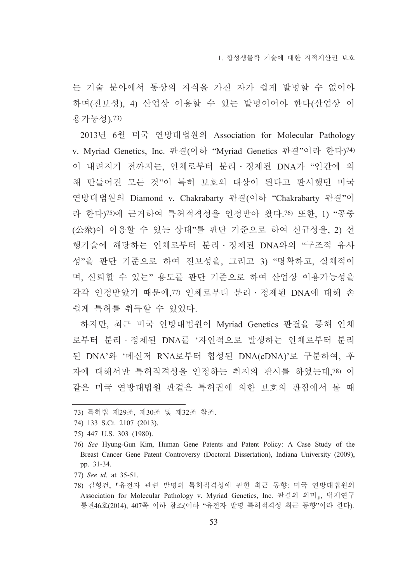는 기술 분야에서 통상의 지식을 가진 자가 쉽게 발명할 수 없어야 하며(진보성), 4) 산업상 이용할 수 있는 발명이어야 한다(산업상 이 용가능성).73)

2013년 6월 미국 연방대법원의 Association for Molecular Pathology v. Myriad Genetics, Inc. 판결(이하 "Myriad Genetics 판결"이라 한다)74) 이 내려지기 전까지는, 인체로부터 분리 · 정제된 DNA가 "인간에 의 해 만들어진 모든 것"이 특허 보호의 대상이 된다고 판시했던 미국 연방대법원의 Diamond v. Chakrabarty 판결(이하 "Chakrabarty 판결"이 라 한다)75)에 근거하여 특허적격성을 인정받아 왔다.76) 또한, 1) "공중 (公衆)이 이용할 수 있는 상태"를 판단 기준으로 하여 신규성을, 2) 선 행기술에 해당하는 인체로부터 분리·정제된 DNA와의 "구조적 유사 성"을 판단 기준으로 하여 진보성을, 그리고 3) "명확하고, 실체적이 며 신뢰할 수 있는" 용도를 판단 기준으로 하여 사업상 이용가능성을 각각 인정받았기 때문에 77) 인체로부터 부리 · 정제된 DNA에 대해 손 쉽게 특허를 취득할 수 있었다.

하지만, 최근 미국 연방대법원이 Myriad Genetics 판결을 통해 인체 로부터 분리 · 정제된 DNA를 '자연적으로 발생하는 인체로부터 분리 된 DNA'와 '메신저 RNA로부터 합성된 DNA(cDNA)'로 구분하여, 후 자에 대해서만 특허적격성을 인정하는 취지의 판시를 하였는데,78) 이 같은 미국 연방대법원 판결은 특허권에 의한 보호의 관점에서 볼 때

<sup>73)</sup> 특허법 제29조, 제30조 및 제32조 참조.

<sup>74) 133</sup> S.Ct. 2107 (2013).

<sup>75) 447</sup> U.S. 303 (1980).

<sup>76)</sup> See Hyung-Gun Kim, Human Gene Patents and Patent Policy: A Case Study of the Breast Cancer Gene Patent Controversy (Doctoral Dissertation), Indiana University (2009), pp. 31-34.

<sup>77)</sup> See id. at 35-51.

<sup>78)</sup> 김형건, 『유전자 관련 발명의 특허적격성에 관한 최근 동향: 미국 연방대법원의 Association for Molecular Pathology v. Myriad Genetics, Inc. 판결의 의미,, 법제연구 통권46호(2014), 407쪽 이하 참조(이하 "유전자 발명 특허적격성 최근 동향"이라 한다).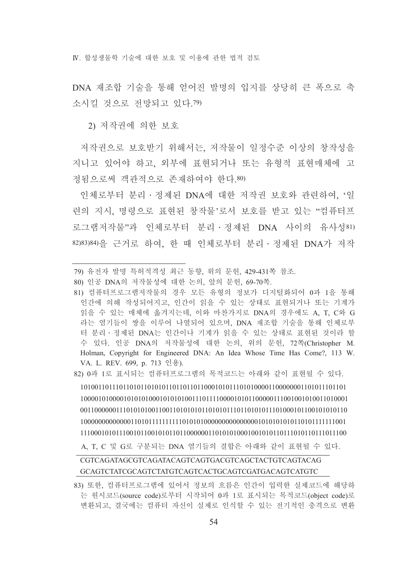IV 합성생물학 기술에 대한 보호 및 이용에 과하 법적 검토

DNA 재조합 기술을 통해 얻어진 발명의 입지를 상당히 큰 폭으로 축 소시킬 것으로 전망되고 있다.79)

2) 저작권에 의한 보호

저작권으로 보호받기 위해서는, 저작물이 일정수주 이상의 창작성을 지니고 있어야 하고, 외부에 표현되거나 또는 유형적 표현매체에 고 정됨으로써 객과적으로 존재하여야 하다 80)

이체로부터 부리 · 정제된 DNA에 대한 저작권 보호와 관련하여 '일 려의 지시. 명령으로 표현된 창작물'로서 보호를 받고 있는 "컴퓨터프 로그램저작물"과 인체로부터 분리 정제된 DNA 사이의 유사성81) 82)83)84)을 근거로 하여, 한 때 인체로부터 분리 · 정제된 DNA가 저작

82) 0과 1로 표시되는 컴퓨터프로그램의 목적코드는 아래와 같이 표현될 수 있다.

A, T, C 및 G로 구분되는 DNA 염기들의 결합은 아래와 같이 표현될 수 있다.

# CGTCAGATAGCGTCAGATACAGTCAGTGACGTCAGCTACTGTCAGTACAG GCAGTCTATCGCAGTCTATGTCAGTCACTGCAGTCGATGACAGTCATGTC

<sup>79)</sup> 유전자 발명 특허적격성 최근 동향, 위의 문헌, 429-431쪽 참조.

<sup>80)</sup> 인공 DNA의 저작물성에 대한 논의, 앞의 문헌, 69-70쪽.

<sup>81)</sup> 컴퓨터프로그램저작물의 경우 모든 유형의 정보가 디지털화되어 0과 1을 통해 인간에 의해 작성되어지고, 인간이 읽을 수 있는 상태로 표현되거나 또는 기계가 읽을 수 있는 매체에 옮겨지는데, 이와 마찬가지로 DNA의 경우에도 A, T. C와 G 라는 염기들이 쌍을 이루어 나열되어 있으며, DNA 재조합 기술을 통해 인체로부 터 분리 · 정제된 DNA는 인간이나 기계가 읽을 수 있는 상태로 표현된 것이라 할 수 있다. 인공 DNA의 저작물성에 대한 논의, 위의 문헌, 72쪽(Christopher M. Holman, Copyright for Engineered DNA: An Idea Whose Time Has Come?, 113 W. VA. L. REV. 699, p. 713 인용).

<sup>83)</sup> 또한, 컴퓨터프로그램에 있어서 정보의 흐름은 인간이 입력한 실제코드에 해당하 는 원시코드(source code)로부터 시작되어 0과 1로 표시되는 목적코드(object code)로 변환되고, 결국에는 컴퓨터 자신이 실제로 인식할 수 있는 전기적인 충격으로 변환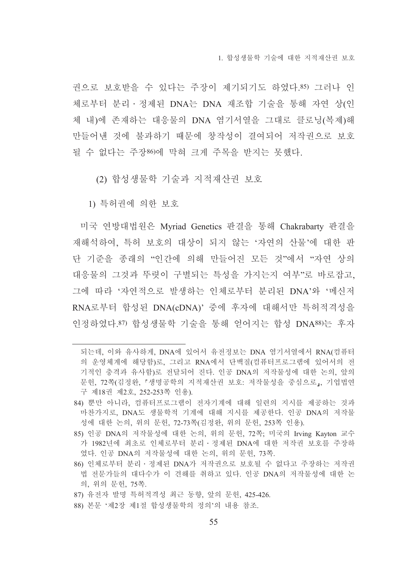1 함성생물학 기술에 대한 지적재산권 보호

권으로 보호받을 수 있다는 주장이 제기되기도 하였다.85) 그러나 인 체로부터 분리 · 정제된 DNA는 DNA 재조합 기술을 통해 자연 상(인 체 내)에 존재하는 대응물의 DNA 역기서열을 그대로 클로닝(복제)해 만들어낸 것에 불과하기 때문에 창작성이 결여되어 저작권으로 보호 될 수 없다는 주장86)에 막혀 크게 주목을 받지는 못했다.

(2) 합성생물학 기술과 지적재산권 보호

1) 특허권에 의한 보호

미국 연방대법원은 Myriad Genetics 판결을 통해 Chakrabarty 판결을 재해석하여. 특허 보호의 대상이 되지 않는 '자여의 산물'에 대한 판 단 기준을 종래의 "인간에 의해 만들어진 모든 것"에서 "자연 상의 대응물의 그것과 뚜렷이 구별되는 특성을 가지는지 여부"로 바로잡고, 그에 따라 '자연적으로 발생하는 인체로부터 분리된 DNA'와 '메신저 RNA로부터 합성된 DNA(cDNA)' 중에 후자에 대해서만 특허적격성을 인정하였다.87) 합성생물학 기술을 통해 얻어지는 합성 DNA88)는 후자

되는데, 이와 유사하게, DNA에 있어서 유전정보는 DNA 염기서열에서 RNA(컴퓨터 의 운영체계에 해당함)로, 그리고 RNA에서 단백질(컴퓨터프로그램에 있어서의 전 기적인 충격과 유사함)로 전달되어 진다. 인공 DNA의 저작물성에 대한 논의, 앞의 문헌, 72쪽(김정완, 「생명공학의 지적재산권 보호: 저작물성을 중심으로」, 기업법연 구 제18권 제2호, 252-253쪽 인용).

<sup>84)</sup> 뿐만 아니라, 컴퓨터프로그램이 전자기계에 대해 일련의 지시를 제공하는 것과 마찬가지로, DNA도 생물학적 기계에 대해 지시를 제공한다. 인공 DNA의 저작물 성에 대한 논의, 위의 문헌, 72-73쪽(김정완, 위의 문헌, 253쪽 인용).

<sup>85)</sup> 인공 DNA의 저작물성에 대한 논의, 위의 문헌, 72쪽, 미국의 Irving Kayton 교수 가 1982년에 최초로 인체로부터 분리 · 정제된 DNA에 대한 저작권 보호를 주장하 였다. 인공 DNA의 저작물성에 대한 논의, 위의 문헌, 73쪽.

<sup>86)</sup> 인체로부터 분리 · 정제된 DNA가 저작권으로 보호될 수 없다고 주장하는 저작권 법 전문가들의 대다수가 이 견해를 취하고 있다. 인공 DNA의 저작물성에 대한 논 의, 위의 문헌, 75쪽.

<sup>87)</sup> 유전자 발명 특허적격성 최근 동향, 앞의 문헌, 425-426.

<sup>88)</sup> 본문 '제2장 제1절 합성생물학의 정의'의 내용 참조.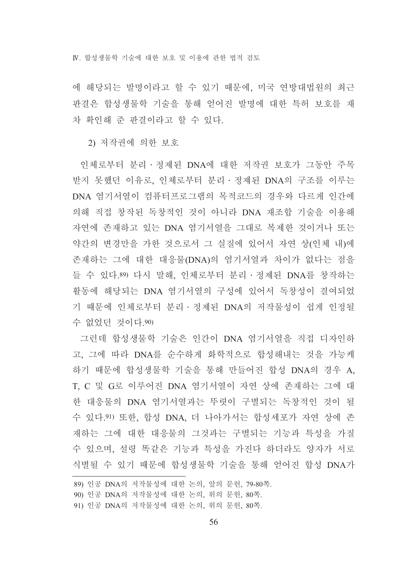에 해당되는 발명이라고 할 수 있기 때문에, 미국 연방대법원의 최근 판결은 합성생물학 기술을 통해 얻어진 발명에 대한 특허 보호를 재 차 확인해 주 판결이라고 할 수 있다.

2) 저작권에 의한 보호

인체로부터 분리 · 정제된 DNA에 대한 저작권 보호가 그동안 주목 받지 못했던 이유로, 인체로부터 분리 · 정제된 DNA의 구조를 이루는 DNA 염기서열이 컴퓨터프로그램의 목적코드의 경우와 다르게 인간에 의해 직접 창작된 독창적인 것이 아니라 DNA 재조합 기술을 이용해 자연에 존재하고 있는 DNA 염기서열을 그대로 복제한 것이거나 또는 약간의 변경만을 가한 것으로서 그 실질에 있어서 자연 상(인체 내)에 존재하는 그에 대한 대응물(DNA)의 염기서열과 차이가 없다는 점을 들 수 있다.89) 다시 말해, 인체로부터 분리·정제된 DNA를 창작하는 활동에 해당되는 DNA 염기서열의 구성에 있어서 독창성이 결여되었 기 때문에 인체로부터 분리 · 정제된 DNA의 저작물성이 쉽게 인정될 수 없었던 것이다.90)

그런데 합성생물학 기술은 인간이 DNA 염기서열을 직접 디자인하 고, 그에 따라 DNA를 순수하게 화학적으로 합성해내는 것을 가능케 하기 때문에 합성생물학 기술을 통해 만들어진 합성 DNA의 경우 A. T, C 및 G로 이루어진 DNA 염기서열이 자연 상에 존재하는 그에 대 한 대응물의 DNA 염기서열과는 뚜렷이 구별되는 독창적인 것이 될 수 있다.91) 또한, 합성 DNA, 더 나아가서는 합성세포가 자연 상에 존 재하는 그에 대한 대응물의 그것과는 구별되는 기능과 특성을 가질 수 있으며, 설령 똑같은 기능과 특성을 가진다 하더라도 양자가 서로 식별될 수 있기 때문에 합성생물학 기술을 통해 얻어진 합성 DNA가

<sup>89)</sup> 인공 DNA의 저작물성에 대한 논의, 앞의 문헌, 79-80쪽.

<sup>90)</sup> 인공 DNA의 저작물성에 대한 논의, 위의 문헌, 80쪽.

<sup>91)</sup> 인공 DNA의 저작물성에 대한 논의, 위의 문헌, 80쪽.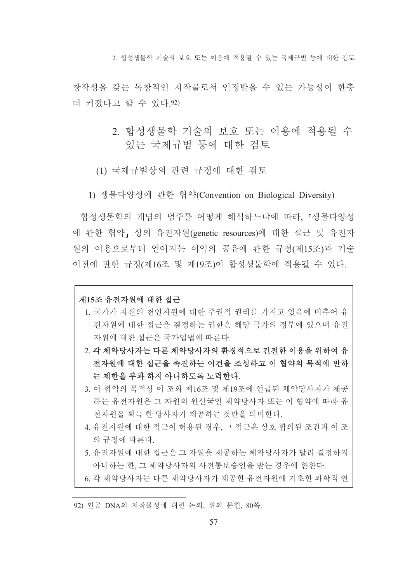2. 합성생물학 기술의 보호 또는 이용에 적용될 수 있는 국제규범 등에 대한 검토

창작성을 갖는 독창적인 저작물로서 인정받을 수 있는 가능성이 한층 더 커졌다고 할 수 있다.92)

- 2. 합성생물학 기술의 보호 또는 이용에 적용될 수 있는 국제규범 등에 대한 검토
- (1) 국제규범상의 관련 규정에 대한 검토
- 1) 생물다양성에 관한 협약(Convention on Biological Diversity)

합성생물학의 개념의 범주를 어떻게 해석하느냐에 따라 「생물다양성 에 관한 협약, 상의 유전자원(genetic resources)에 대한 접근 및 유전자 원의 이용으로부터 얻어지는 이익의 공유에 관한 규정(제15조)과 기술 이전에 관한 규정(제16조 및 제19조)이 합성생물학에 적용될 수 있다.

### 제15조 유저자워에 대한 접근

- 1. 국가가 자신의 천연자원에 대한 주권적 권리를 가지고 있음에 비추어 유 전자원에 대한 접근을 결정하는 권한은 해당 국가의 정부에 있으며 유전 자워에 대한 접근은 국가입법에 따른다.
- 2. 각 체약당사자는 다른 체약당사자의 환경적으로 건전한 이용을 위하여 유 저자워에 대한 접근을 촉지하는 여거을 조성하고 이 협약의 목적에 반하 는 제한을 부과 하지 아니하도록 노력한다.
- 3. 이 협약의 목적상 이 조와 제16조 및 제19조에 언급된 체약당사자가 제공 하는 유전자원은 그 자원의 원산국인 체약당사자 또는 이 협약에 따라 유 전자워을 획득 한 당사자가 제공하는 것만을 의미한다.
- 4. 유전자워에 대한 접근이 허용된 경우, 그 접근은 상호 합의된 조건과 이 조 의 규정에 따른다.
- 5. 유전자워에 대한 접근은 그 자워을 제공하는 체약당사자가 달리 결정하지 아니하는 한. 그 체약당사자의 사전통보승인을 받는 경우에 하하다.
- 6. 각 체약당사자는 다른 체약당사자가 제공한 유전자원에 기초한 과학적 연

<sup>92)</sup> 인공 DNA의 저작물성에 대한 논의, 위의 문헌, 80쪽.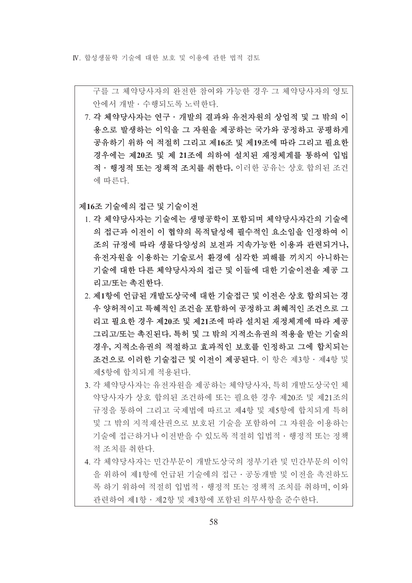IV 합성생물학 기술에 대한 보호 및 이용에 과하 법적 검토

구를 그 체약당사자의 와저하 참여와 가능하 경우 그 체약당사자의 영토 아에서 개발 · 수행되도록 노력하다

7. 각 체약당사자는 연구 · 개발의 결과와 유전자원의 상업적 및 그 밖의 이 용으로 발생하는 이익을 그 자워을 제공하는 국가와 공정하고 공평하게 공유하기 위하 여 적절히 그리고 제16조 및 제19조에 따라 그리고 필요한 경우에는 제20조 및 제 21조에 의하여 설치된 재정체계를 통하여 입법 적 · 행정적 또는 정책적 조치를 취한다. 이러한 공유는 상호 합의된 조건 에 따른다.

제16조 기술에의 접근 및 기술이전

- 1. 각 체약당사자는 기술에는 생명공학이 포함되며 체약당사자가의 기술에 의 접근과 이전이 이 협약의 목적달성에 필수적인 요소임을 인정하여 이 조의 규정에 따라 생물다양성의 보전과 지속가능한 이용과 관련되거나, 유전자원을 이용하는 기술로서 환경에 심각한 피해를 끼치지 아니하는 기술에 대한 다른 체약당사자의 접근 및 이들에 대한 기술이저을 제공 그 리고/또는 촉진한다.
- 2. 제1항에 언급된 개발도상국에 대한 기술접근 및 이전은 상호 합의되는 경 우 양허적이고 특혜적인 조건을 포함하여 공정하고 최혜적인 조건으로 그 리고 필요한 경우 제20조 및 제21조에 따라 설치된 재정체계에 따라 제공 그리고/또는 촉진된다. 특허 및 그 밖의 지적소유권의 적용을 받는 기술의 경우, 지적소유권의 적절하고 효과적인 보호를 인정하고 그에 합치되는 조건으로 이러한 기술접근 및 이전이 제공된다. 이 항은 제3항 · 제4항 및 제5항에 합치되게 적용된다.
- 3. 각 체약당사자는 유전자원을 제공하는 체약당사자, 특히 개발도상국인 체 약당사자가 상호 합의된 조건하에 또는 필요한 경우 제20조 및 제21조의 규정을 통하여 그리고 국제법에 따르고 제4항 및 제5항에 합치되게 특허 및 그 밖의 지적재산권으로 보호된 기술을 포함하여 그 자원을 이용하는 기술에 접근하거나 이전받을 수 있도록 적절히 입법적 · 행정적 또는 정책 적 조치를 취한다.
- 4. 각 체약당사자는 민간부문이 개발도상국의 정부기관 및 민간부문의 이익 을 위하여 제1항에 언급된 기술에의 접근 · 공동개발 및 이전을 촉진하도 록 하기 위하여 적절히 입법적 • 행정적 또는 정책적 조치를 취하며, 이와 관련하여 제1항 · 제2항 및 제3항에 포함된 의무사항을 주수하다.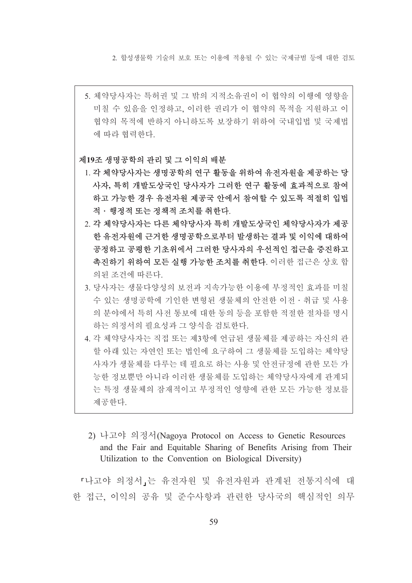2. 합성생물학 기술의 보호 또는 이용에 적용될 수 있는 국제규범 등에 대한 검토

5. 체약당사자는 특허권 및 그 밖의 지적소유권이 이 협약의 이행에 영향을 미칠 수 있음을 인정하고, 이러한 권리가 이 협약의 목적을 지워하고 이 협약의 목적에 반하지 아니하도록 보장하기 위하여 국내입법 및 국제법 에 따라 협력한다.

### 제19조 생명공학의 관리 및 그 이익의 배분

- 1. 각 체약당사자는 생명공학의 연구 활동을 위하여 유전자원을 제공하는 당 사자, 특히 개발도상국인 당사자가 그러한 연구 활동에 효과적으로 참여 하고 가능한 경우 유전자원 제공국 안에서 참여할 수 있도록 적절히 입법 적 · 행정적 또는 정책적 조치를 취한다.
- 2. 각 체약당사자는 다른 체약당사자 특히 개발도상국인 체약당사자가 제공 한 유전자원에 근거한 생명공학으로부터 발생하는 결과 및 이익에 대하여 공정하고 공평한 기초위에서 그러한 당사자의 우선적인 접근을 증진하고 촉진하기 위하여 모든 실행 가능한 조치를 취한다. 이러한 접근은 상호 합 의된 조건에 따른다.
- 3. 당사자는 생물다양성의 보전과 지속가능한 이용에 부정적인 효과를 미칠 수 있는 생명공학에 기인한 변형된 생물체의 안전한 이전 · 취급 및 사용 의 분야에서 특히 사전 통보에 대한 동의 등을 포함한 적절한 절차를 명시 하는 의정서의 필요성과 그 양식을 검토한다.
- 4. 각 체약당사자는 직접 또는 제3항에 언급된 생물체를 제공하는 자신의 관 할 아래 있는 자연인 또는 법인에 요구하여 그 생물체를 도입하는 체약당 사자가 생물체를 다루는 데 필요로 하는 사용 및 안전규정에 관한 모든 가 능한 정보뿐만 아니라 이러한 생물체를 도입하는 체약당사자에게 관계되 는 특정 생물체의 잠재적이고 부정적인 영향에 관한 모든 가능한 정보를 제공한다.
- 2) 나고야 의정서(Nagova Protocol on Access to Genetic Resources and the Fair and Equitable Sharing of Benefits Arising from Their Utilization to the Convention on Biological Diversity)

『나고야 의정서』는 유전자원 및 유전자원과 관계된 전통지식에 대 한 접근, 이익의 공유 및 준수사항과 관련한 당사국의 핵심적인 의무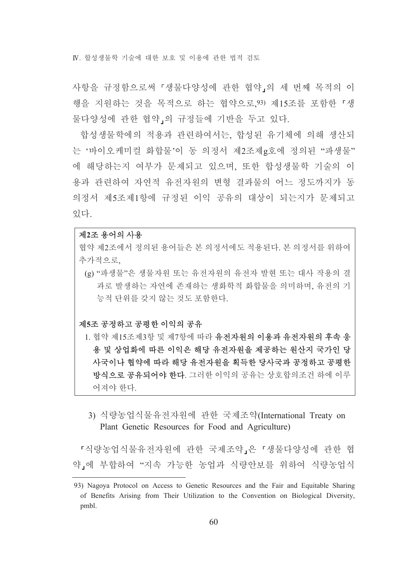IV 합성생물학 기술에 대한 보호 및 이용에 과하 법적 검토

사항을 규정함으로써 『생물다양성에 관한 협약』의 세 번째 목적의 이 행을 지원하는 것을 목적으로 하는 협약으로,93) 제15조를 포함한 「생 물다양성에 관한 협약 의 규정들에 기반을 두고 있다.

합성생물학에의 적용과 관련하여서는, 합성된 유기체에 의해 생산되 는 '바이오케미컬 화합물'이 동 의정서 제2조제g호에 정의된 "파생물" 에 해당하는지 여부가 문제되고 있으며, 또한 합성생물학 기술의 이 용과 관련하여 자연적 유전자워의 변형 결과물의 어느 정도까지가 동 의정서 제5조제1항에 규정된 이익 공유의 대상이 되는지가 문제되고 있다.

### 제2조 용어의 사용

협약 제2조에서 정의된 용어들은 본 의정서에도 적용되다 본 의정서를 위하여 추가적으로.

(g) "파생물"은 생물자원 또는 유전자원의 유전자 발현 또는 대사 작용의 결 과로 발생하는 자연에 존재하는 생화학적 화합물을 의미하며, 유전의 기 능적 단위를 갖지 않는 것도 포함한다.

# 제5조 공정하고 공평한 이익의 공유

- 1. 협약 제15조제3항 및 제7항에 따라 유전자원의 이용과 유전자원의 후속 응 용 및 상업화에 따른 이익은 해당 유전자원을 제공하는 원산지 국가인 당 사국이나 협약에 따라 해당 유전자원을 획득한 당사국과 공정하고 공평한 방식으로 공유되어야 한다. 그러한 이익의 공유는 상호합의조건 하에 이루 어져야 한다.
- 3) 식량농업식물유전자원에 관한 국제조약(International Treaty on Plant Genetic Resources for Food and Agriculture)

『식량농업식물유전자원에 관한 국제조약』은 『생물다양성에 관한 협 약」에 부합하여 "지속 가능한 농업과 식량안보를 위하여 식량농업식

<sup>93)</sup> Nagoya Protocol on Access to Genetic Resources and the Fair and Equitable Sharing of Benefits Arising from Their Utilization to the Convention on Biological Diversity, pmbl.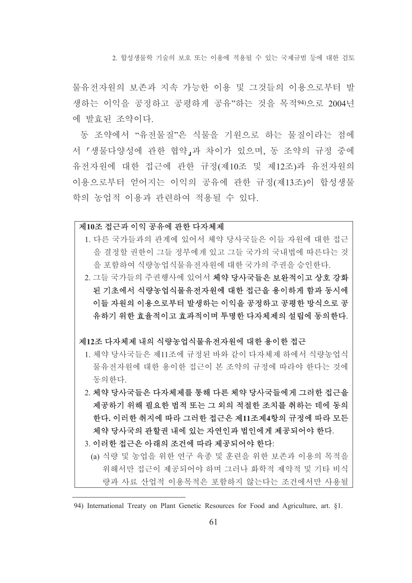2. 합성생물학 기술의 보호 또는 이용에 적용될 수 있는 국제규범 등에 대한 검토

물유전자원의 보존과 지속 가능한 이용 및 그것들의 이용으로부터 발 생하는 이익을 공정하고 공평하게 공유"하는 것을 목적94)으로 2004년 에 발효된 조약이다.

동 조약에서 "유전물질"은 식물을 기원으로 하는 물질이라는 점에 서 「생물다양성에 관한 협약」과 차이가 있으며, 동 조약의 규정 중에 유전자원에 대한 접근에 관한 규정(제10조 및 제12조)과 유전자원의 이용으로부터 얻어지는 이익의 공유에 관한 규정(제13조)이 합성생물 학의 농업적 이용과 관련하여 적용될 수 있다.

### 제10조 접근과 이익 공유에 관한 다자체제

- 1. 다른 국가들과의 관계에 있어서 체약 당사국들은 이들 자워에 대한 접근 을 결정할 권한이 그들 정부에게 있고 그들 국가의 국내법에 따른다는 것 을 포함하여 식량농업식물유전자원에 대한 국가의 주권을 승인한다.
- 2. 그들 국가들의 주권행사에 있어서 체약 당사국들은 보완적이고 상호 강화 된 기초에서 식량농업식물유전자원에 대한 접근을 용이하게 함과 동시에 이들 자원의 이용으로부터 발생하는 이익을 공정하고 공평한 방식으로 공 유하기 위한 효율적이고 효과적이며 투명한 다자체제의 설립에 동의한다.

### 제12조 다자체제 내의 식량농업식물유저자워에 대한 용이한 접근

- 1. 체약 당사국들은 제11조에 규정된 바와 같이 다자체제 하에서 식량농업식 물유전자원에 대한 용이한 접근이 본 조약의 규정에 따라야 한다는 것에 동의하다.
- 2. 체약 당사국들은 다자체제를 통해 다른 체약 당사국들에게 그러한 접근을 제공하기 위해 필요한 법적 또는 그 외의 적절한 조치를 취하는 데에 동의 한다. 이러한 취지에 따라 그러한 접근은 제11조제4항의 규정에 따라 모든 체약 당사국의 관할권 내에 있는 자연인과 법인에게 제공되어야 한다.
- 3. 이러한 접근은 아래의 조건에 따라 제공되어야 한다.
	- (a) 식량 및 농업을 위한 연구 육종 및 훈련을 위한 보존과 이용의 목적을 위해서만 접근이 제공되어야 하며 그러나 화학적 제약적 및 기타 비식 량과 사료 산업적 이용목적은 포함하지 않는다는 조건에서만 사용될

<sup>94)</sup> International Treaty on Plant Genetic Resources for Food and Agriculture, art. §1.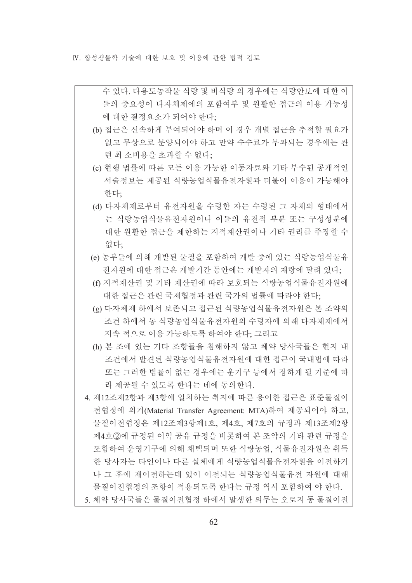IV 합성생물학 기술에 대한 보호 및 이용에 과하 법적 검토

수 있다. 다용도농작물 식량 및 비식량 의 경우에는 식량안보에 대한 이 들의 중요성이 다자체제에의 포함여부 및 워활한 접근의 이용 가능성 에 대한 결정요소가 되어야 한다:

- (b) 접근은 신속하게 부여되어야 하며 이 경우 개별 접근을 추적할 필요가 없고 무상으로 분양되어야 하고 만약 수수료가 부과되는 경우에는 관 련 최 소비용을 초과할 수 없다;
- (c) 현행 법률에 따른 모든 이용 가능한 이동자료와 기타 부수된 공개적인 서술정보는 제공된 식량농업식물유전자원과 더불어 이용이 가능해야 한다:
- (d) 다자체제로부터 유전자원을 수령한 자는 수령된 그 자체의 형태에서 는 식량농업식물유전자워이나 이들의 유전적 부분 또는 구성성분에 대한 원활한 접근을 제한하는 지적재산권이나 기타 권리를 주장할 수 없다:
- (e) 농부들에 의해 개발된 물질을 포함하여 개발 중에 있는 식량농업식물유 전자워에 대한 접근은 개발기가 동안에는 개발자의 재량에 달려 있다.
- (f) 지적재산권 및 기타 재산권에 따라 보호되는 식량농업식물유전자원에 대한 접근은 관련 국제협정과 관련 국가의 법률에 따라야 한다;
- (g) 다자체제 하에서 보존되고 접근된 식량농업식물유저자원은 본 조약의 조건 하에서 동 식량농업식물유전자원의 수령자에 의해 다자체제에서 지속 적으로 이용 가능하도록 하여야 한다: 그리고
- (h) 본 조에 있는 기타 조항들을 침해하지 않고 체약 당사국들은 현지 내 조건에서 발견된 식량농업식물유전자원에 대한 접근이 국내법에 따라 또는 그러한 법률이 없는 경우에는 운기구 등에서 정하게 될 기준에 따 라 제공될 수 있도록 한다는 데에 동의한다.
- 4. 제12조제2항과 제3항에 일치하는 취지에 따른 용이한 접근은 표준물질이 전협정에 의거(Material Transfer Agreement: MTA)하여 제공되어야 하고, 물질이전협정은 제12조제3항제1호, 제4호, 제7호의 규정과 제13조제2항 제4호②에 규정된 이익 공유 규정을 비롯하여 본 조약의 기타 관련 규정을 포함하여 운영기구에 의해 채택되며 또한 식량농업, 식물유전자원을 취득 한 당사자는 타인이나 다른 실체에게 식량농업식물유전자원을 이전하거 나 그 후에 재이전하는데 있어 이전되는 식량농업식물유전 자원에 대해 물질이전협정의 조항이 적용되도록 한다는 규정 역시 포함하여 야 한다. 5. 체약 당사국들은 물질이전협정 하에서 발생한 의무는 오로지 동 물질이전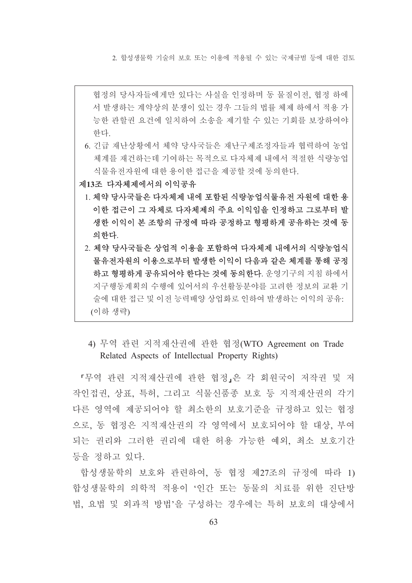2. 합성생물학 기술의 보호 또는 이용에 적용될 수 있는 국제규범 등에 대한 검토

- 협정의 당사자들에게만 있다는 사실을 인정하며 동 물질이전, 협정 하에 서 발생하는 계약상의 분쟁이 있는 경우 그들의 법률 체제 하에서 적용 가 능한 관할권 요건에 일치하여 소송을 제기할 수 있는 기회를 보장하여야 한다.
- 6. 긴급 재난상황에서 체약 당사국들은 재난구제조정자들과 협력하여 농업 체계를 재건하는데 기여하는 목적으로 다자체제 내에서 적절한 식량농업 식물유전자원에 대한 용이한 접근을 제공할 것에 동의한다.
- 제13조 다자체제에서의 이익공유
	- 1. 체약 당사국들은 다자체제 내에 포함된 식량농업식물유전 자원에 대한 용 이한 접근이 그 자체로 다자체제의 주요 이익임을 인정하고 그로부터 발 생한 이익이 본 조항의 규정에 따라 공정하고 형평하게 공유하는 것에 동 의하다.
	- 2. 체약 당사국들은 상업적 이용을 포함하여 다자체제 내에서의 식량농업식 물유전자원의 이용으로부터 발생한 이익이 다음과 같은 체계를 통해 공정 하고 형평하게 공유되어야 한다는 것에 동의한다. 운영기구의 지침 하에서 지구행동계획의 수행에 있어서의 우선활동분야를 고려한 정보의 교화 기 술에 대한 접근 및 이전 능력배양 상업화로 인하여 발생하는 이익의 공유: (이하 생략)
		- 4) 무역 관련 지적재산권에 관한 협정(WTO Agreement on Trade Related Aspects of Intellectual Property Rights)

「무역 관련 지적재산권에 관한 협정」은 각 회원국이 저작권 및 저 작인접권, 상표, 특허, 그리고 식물신품종 보호 등 지적재산권의 각기 다른 영역에 제공되어야 할 최소한의 보호기준을 규정하고 있는 협정 으로, 동 협정은 지적재산권의 각 영역에서 보호되어야 할 대상, 부여 되는 권리와 그러한 권리에 대한 허용 가능한 예외, 최소 보호기간 등을 정하고 있다.

합성생물학의 보호와 관련하여. 동 협정 제27조의 규정에 따라 1) 합성생물학의 의학적 적용이 '인간 또는 동물의 치료를 위한 진단방 법 요법 및 외과적 방법'을 구성하는 경우에는 특허 보호의 대상에서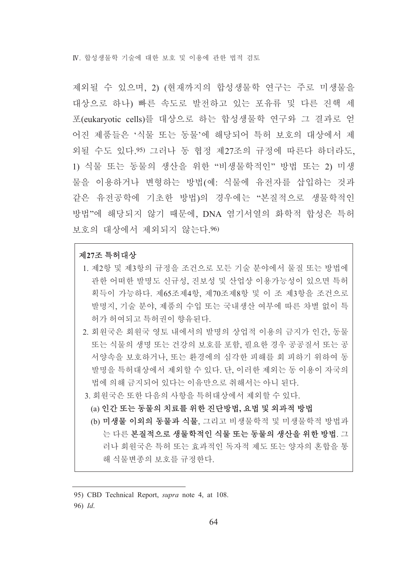IV 합성생물학 기술에 대한 보호 및 이용에 과하 법적 검토

제외될 수 있으며, 2) (현재까지의 합성생물학 연구는 주로 미생물을 대상으로 하나) 빠른 속도로 발전하고 있는 포유류 및 다른 진핵 세 포(eukaryotic cells)를 대상으로 하는 합성생물학 연구와 그 결과로 얻 어진 제품들은 '식물 또는 동물'에 해당되어 특허 보호의 대상에서 제 외될 수도 있다 95) 그러나 동 협정 제27조의 규정에 따른다 하더라도. 1) 식물 또는 동물의 생산을 위한 "비생물학적인" 방법 또는 2) 미생 물을 이용하거나 변형하는 방법(예: 식물에 유전자를 삽입하는 것과 같은 유전공학에 기초한 방법)의 경우에는 "본질적으로 생물학적인 방법"에 해당되지 않기 때문에, DNA 염기서열의 화학적 합성은 특허 보호의 대상에서 제외되지 않는다.96)

### 제27조 특허대상

- 1. 제2항 및 제3항의 규정을 조건으로 모든 기술 분야에서 물질 또는 방법에 관한 어떠한 발명도 신규성, 진보성 및 산업상 이용가능성이 있으면 특허 획득이 가능하다. 제65조제4항, 제70조제8항 및 이 조 제3항을 조건으로 발명지, 기술 분야, 제품의 수입 또는 국내생산 여부에 따른 차별 없이 특 허가 허여되고 특허권이 향유된다.
- 2. 회워국은 회워국 영토 내에서의 발명의 상업적 이용의 금지가 인간, 동물 또는 식물의 생명 또는 건강의 보호를 포함, 필요한 경우 공공질서 또는 공 서양속을 보호하거나, 또는 환경에의 심각한 피해를 회 피하기 위하여 동 발명을 특허대상에서 제외할 수 있다. 단, 이러한 제외는 동 이용이 자국의 법에 의해 금지되어 있다는 이유만으로 취해서는 아니 된다.
- 3. 회원국은 또한 다음의 사항을 특허대상에서 제외할 수 있다.
	- (a) 인간 또는 동물의 치료를 위한 진단방법, 요법 및 외과적 방법
	- (b) 미생물 이외의 동물과 식물, 그리고 비생물학적 및 미생물학적 방법과 는 다른 본질적으로 생물학적인 식물 또는 동물의 생산을 위한 방법. 그 러나 회원국은 특허 또는 효과적인 독자적 제도 또는 양자의 혼합을 통 해 식물변종의 보호를 규정한다.

<sup>95)</sup> CBD Technical Report, *supra* note 4, at 108. 96) Id.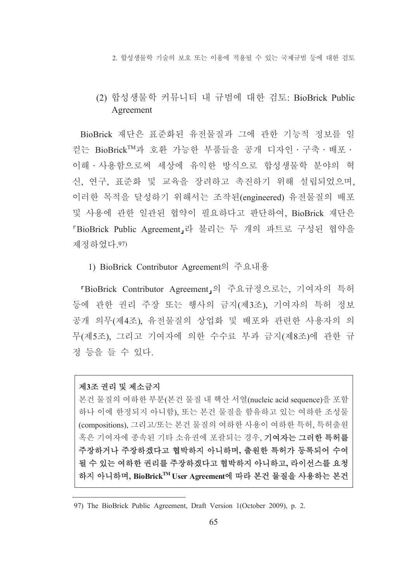2. 합성생물학 기술의 보호 또는 이용에 적용될 수 있는 국제규범 등에 대한 검토

# (2) 합성생물학 커뮤니티 내 규범에 대한 검토: BioBrick Public Agreement

BioBrick 재단은 표준화된 유전물질과 그에 관한 기능적 정보를 일 컫는 BioBrick™과 호환 가능한 부품들을 공개 디자인 · 구축 · 배포 · 이해 · 사용함으로써 세상에 유익한 방식으로 합성생물학 부야의 혁 신, 연구, 표준화 및 교육을 장려하고 촉진하기 위해 설립되었으며, 이러한 목적을 달성하기 위해서는 조작된(engineered) 유전물질의 배포 및 사용에 관한 일관된 협약이 필요하다고 판단하여, BioBrick 재단은 「BioBrick Public Agreement」라 불리는 두 개의 파트로 구성된 협약을 제정하였다 97)

### 1) BioBrick Contributor Agreement의 주요내용

「BioBrick Contributor Agreement」의 주요규정으로는, 기여자의 특허 등에 관한 권리 주장 또는 행사의 금지(제3조), 기여자의 특허 정보 공개 의무(제4조), 유전물질의 상업화 및 배포와 관련한 사용자의 의 무(제5조), 그리고 기여자에 의한 수수료 부과 금지(제8조)에 관한 규 정 등을 들 수 있다.

## 제3조 권리 및 제소금지

본건 물질의 여하한 부분(본건 물질 내 핵산 서열(nucleic acid sequence)을 포함 하나 이에 한정되지 아니함), 또는 본건 물질을 함유하고 있는 여하한 조성물 (compositions), 그리고/또는 본건 물질의 여하한 사용이 여하한 특허, 특허출원 혹은 기여자에 종속된 기타 소유권에 포괄되는 경우, 기여자는 그러한 특허를 주장하거나 주장하겠다고 협박하지 아니하며, 출원한 특허가 등록되어 수여 될 수 있는 여하한 권리를 주장하겠다고 협박하지 아니하고, 라이선스를 요청 하지 아니하며, BioBrick™ User Agreement에 따라 본건 물질을 사용하는 본건

<sup>97)</sup> The BioBrick Public Agreement, Draft Version 1(October 2009), p. 2.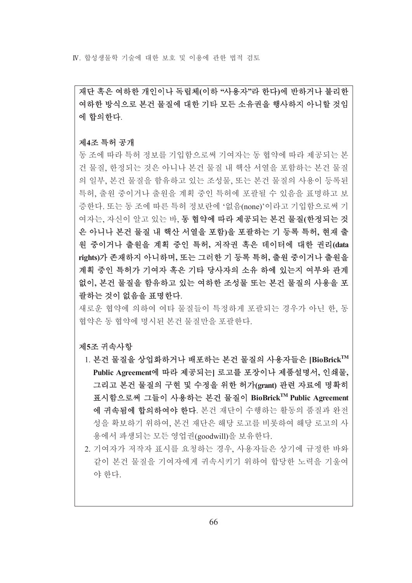IV 합성생물학 기술에 대한 보호 및 이용에 과하 법적 검토

재단 혹은 여하한 개인이나 독립체(이하 "사용자"라 한다)에 반하거나 불리한 여하한 방식으로 본건 물질에 대한 기타 모든 소유권을 행사하지 아니할 것임 에 합의한다.

### 제4조 특허 공개

동 조에 따라 특허 정보를 기입함으로써 기여자는 동 협약에 따라 제공되는 본 건 물질, 한정되는 것은 아니나 본건 물질 내 핵산 서열을 포함하는 본건 물질 의 일부, 본건 물질을 함유하고 있는 조성물, 또는 본건 물질의 사용이 등록된 특허. 출워 중이거나 출워을 계획 중인 특허에 포괄될 수 있음을 표명하고 보 증한다. 또는 동 조에 따른 특허 정보란에 '없음(none)'이라고 기입함으로써 기 여자는, 자신이 알고 있는 바, 동 협약에 따라 제공되는 본건 물질(한정되는 것 은 아니나 본건 물질 내 핵산 서열을 포함)을 포괄하는 기 등록 특허, 현재 출 원 중이거나 출원을 계획 중인 특허, 저작권 혹은 데이터에 대한 권리(data rights)가 존재하지 아니하며, 또는 그러한 기 등록 특허, 출워 중이거나 출워을 계획 중인 특허가 기여자 혹은 기타 당사자의 소유 하에 있는지 여부와 관계 없이, 본건 물질을 함유하고 있는 여하한 조성물 또는 본건 물질의 사용을 포 괄하는 것이 없음을 표명한다.

새로운 협약에 의하여 여타 물질들이 특정하게 포괄되는 경우가 아닌 한 동 협약은 동 협약에 명시된 본건 물질만을 포괄한다.

### 제5조 귀속사항

- 1. 본건 물질을 상업화하거나 배포하는 본건 물질의 사용자들은 [BioBrick™ Public Agreement에 따라 제공되는| 로고를 포장이나 제품설명서, 인쇄물, 그리고 본건 물질의 구현 및 수정을 위한 허가(grant) 관련 자료에 명확히 표시함으로써 그들이 사용하는 본건 물질이 BioBrick™ Public Agreement 에 귀속됨에 합의하여야 한다. 본건 재단이 수행하는 활동의 품질과 완전 성을 확보하기 위하여, 본건 재단은 해당 로고를 비롯하여 해당 로고의 사 용에서 파생되는 모든 영업권(goodwill)을 보유한다.
- 2. 기여자가 저작자 표시를 요청하는 경우, 사용자들은 상기에 규정한 바와 같이 본건 물질을 기여자에게 귀속시키기 위하여 합당한 노력을 기울여 야 한다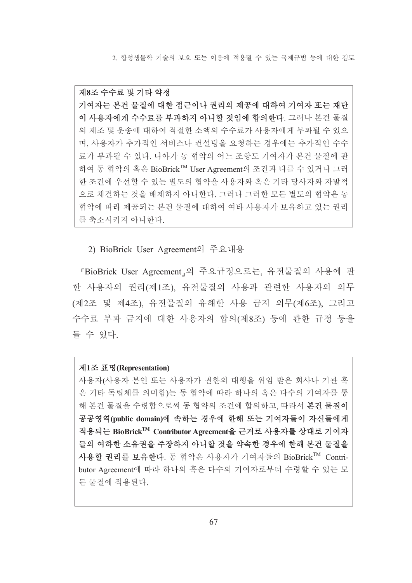2. 합성생물학 기술의 보호 또는 이용에 적용될 수 있는 국제규범 등에 대한 검토

제8조 수수료 및 기타 약정 기여자는 본건 물질에 대한 접근이나 권리의 제공에 대하여 기여자 또는 재단 이 사용자에게 수수료를 부과하지 아니할 것임에 합의하다. 그러나 본건 물질 의 제조 및 운송에 대하여 적절한 소액의 수수료가 사용자에게 부과될 수 있으 며, 사용자가 추가적인 서비스나 컨설팅을 요청하는 경우에는 추가적인 수수 료가 부과될 수 있다. 나아가 동 협약의 어느 조항도 기여자가 본건 물질에 관 하여 동 협약의 혹은 BioBrick™ User Agreement의 조건과 다를 수 있거나 그러 한 조건에 우선할 수 있는 별도의 협약을 사용자와 혹은 기타 당사자와 자발적 으로 체결하는 것을 배제하지 아니한다. 그러나 그러한 모든 별도의 협약은 동 협약에 따라 제공되는 본건 물질에 대하여 여타 사용자가 보유하고 있는 권리 를 축소시키지 아니한다.

2) BioBrick User Agreement의 주요내용

「BioBrick User Agreement」의 주요규정으로는, 유전물질의 사용에 관 한 사용자의 권리(제1조), 유전물질의 사용과 관련한 사용자의 의무 (제2조 및 제4조), 유전물질의 유해한 사용 금지 의무(제6조), 그리고 수수료 부과 금지에 대한 사용자의 합의(제8조) 등에 관한 규정 등을 들 수 있다.

# 제1조 표명(Representation)

사용자(사용자 본인 또는 사용자가 권한의 대행을 위임 받은 회사나 기관 혹 은 기타 독립체를 의미함)는 동 협약에 따라 하나의 혹은 다수의 기여자를 통 해 본거 물질을 수령함으로써 동 협약의 조건에 합의하고, 따라서 본건 물질이 공공영역(public domain)에 속하는 경우에 한해 또는 기여자들이 자신들에게 적용되는 BioBrick™ Contributor Agreement을 근거로 사용자를 상대로 기여자 들의 여하한 소유권을 주장하지 아니할 것을 약속한 경우에 한해 본건 물질을 사용할 권리를 보유한다. 동 협약은 사용자가 기여자들의 BioBrick™ Contributor Agreement에 따라 하나의 혹은 다수의 기여자로부터 수령할 수 있는 모 든 물질에 적용된다.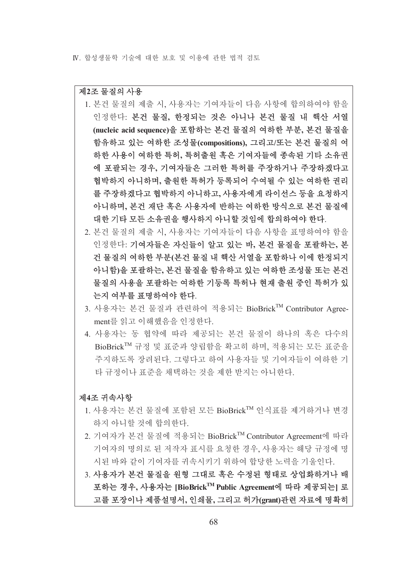### 제2조 물질의 사용

- 1. 본건 물질의 제출 시. 사용자는 기여자들이 다음 사항에 합의하여야 함을 인정한다: 본건 물질, 한정되는 것은 아니나 본건 물질 내 핵산 서열 (nucleic acid sequence)을 포함하는 본건 물질의 여하한 부분, 본건 물질을 함유하고 있는 여하한 조성물(compositions), 그리고/또는 본건 물질의 여 하한 사용이 여하한 특허, 특허출원 혹은 기여자들에 종속된 기타 소유권 에 포괄되는 경우, 기여자들은 그러한 특허를 주장하거나 주장하겠다고 협박하지 아니하며, 출원한 특허가 등록되어 수여될 수 있는 여하한 권리 를 주장하겠다고 협박하지 아니하고, 사용자에게 라이선스 등을 요청하지 아니하며, 본건 재단 혹은 사용자에 반하는 여하한 방식으로 본건 물질에 대한 기타 모든 소유권을 행사하지 아니할 것임에 합의하여야 한다.
- 2. 본건 물질의 제출 시, 사용자는 기여자들이 다음 사항을 표명하여야 함을 인정한다: 기여자들은 자신들이 알고 있는 바, 본건 물질을 포괄하는, 본 건 물질의 여하한 부분(본건 물질 내 핵산 서열을 포함하나 이에 한정되지 아니함)을 포괄하는, 본건 물질을 함유하고 있는 여하한 조성물 또는 본건 물질의 사용을 포괄하는 여하한 기등록 특허나 현재 출원 중인 특허가 있 는지 여부를 표명하여야 한다.
- 3. 사용자는 본건 물질과 관련하여 적용되는 BioBrick™ Contributor Agreement를 읽고 이해했음을 인정한다.
- 4. 사용자는 동 협약에 따라 제공되는 본건 물질이 하나의 혹은 다수의 BioBrick™ 규정 및 표준과 양립함을 확고히 하며, 적용되는 모든 표준을 주지하도록 장려된다. 그렇다고 하여 사용자들 및 기여자들이 여하한 기 타 규정이나 표준을 채택하는 것을 제한 받지는 아니한다.

# 제4조 귀속사항

- 1. 사용자는 본건 물질에 포함된 모든 BioBrick™ 인식표를 제거하거나 변경 하지 아니할 것에 합의한다.
- 2. 기여자가 본건 물질에 적용되는 BioBrick™ Contributor Agreement에 따라 기여자의 명의로 된 저작자 표시를 요청한 경우, 사용자는 해당 규정에 명 시된 바와 같이 기여자를 귀속시키기 위하여 합당한 노력을 기울인다.
- 3. 사용자가 본건 물질을 원형 그대로 혹은 수정된 형태로 상업화하거나 배 포하는 경우, 사용자는 [BioBrick™ Public Agreement에 따라 제공되는] 로 고를 포장이나 제품설명서, 인쇄물, 그리고 허가(grant)관련 자료에 명확히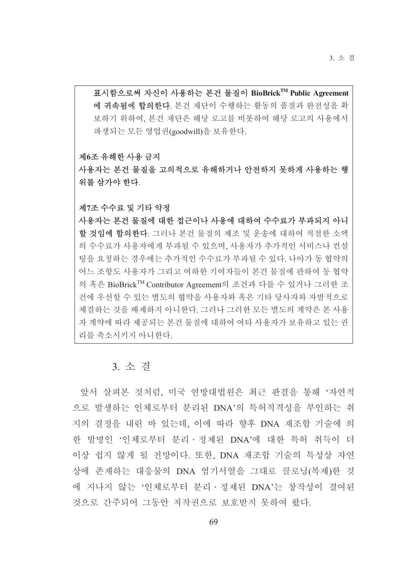표시함으로써 자신이 사용하는 본건 물질이 BioBrick™ Public Agreement 에 귀속됨에 합의한다. 본건 재단이 수행하는 활동의 품질과 완전성을 확 보하기 위하여. 본건 재단은 해당 로고를 비롯하여 해당 로고의 사용에서 파생되는 모든 영업권(goodwill)을 보유한다.

## 제6조 유해한 사용 금지

사용자는 본건 물질을 고의적으로 유해하거나 안전하지 못하게 사용하는 행 위를 삼가야 한다.

#### 제7조 수수료 및 기타 약정

사용자는 본건 물질에 대한 접근이나 사용에 대하여 수수료가 부과되지 아니 할 것임에 합의한다. 그러나 본건 물질의 제조 및 운송에 대하여 적절한 소액 의 수수료가 사용자에게 부과될 수 있으며, 사용자가 추가적인 서비스나 컨설 팅을 요청하는 경우에는 추가적인 수수료가 부과될 수 있다. 나아가 동 협약의 어느 조항도 사용자가 그리고 여하한 기여자들이 본건 물질에 관하여 동 협약 의 혹은 BioBrick<sup>TM</sup> Contributor Agreement의 조건과 다를 수 있거나 그러한 조 건에 우선할 수 있는 별도의 협약을 사용자와 혹은 기타 당사자와 자발적으로 체결하는 것을 배제하지 아니한다. 그러나 그러한 모든 별도의 계약은 본 사용 자 계약에 따라 제공되는 본건 물질에 대하여 여타 사용자가 보유하고 있는 권 리를 축소시키지 아니한다.

# 3. 소 결

앞서 살펴본 것처럼, 미국 연방대법원은 최근 판결을 통해 '자연적 으로 발생하는 인체로부터 분리된 DNA'의 특허적격성을 부인하는 취 지의 결정을 내린 바 있는데, 이에 따라 향후 DNA 재조합 기술에 의 한 발명인 '인체로부터 분리 · 정제된 DNA'에 대한 특허 취득이 더 이상 쉽지 않게 될 전망이다. 또한, DNA 재조합 기술의 특성상 자연 상에 존재하는 대응물의 DNA 염기서열을 그대로 클로닝(복제)한 것 에 지나지 않는 '인체로부터 분리 · 정제된 DNA'는 창작성이 결여된 것으로 가주되어 그동안 저작권으로 보호받지 못하여 왔다.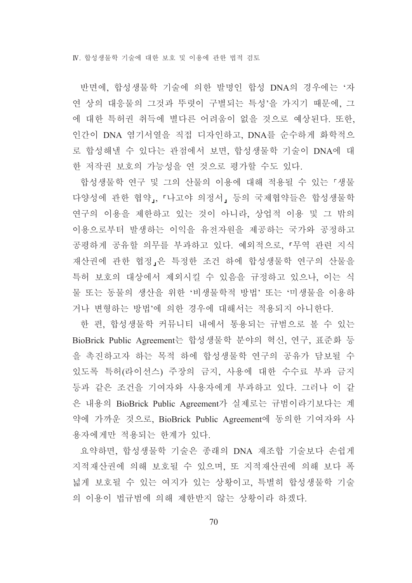IV. 합성생물학 기술에 대한 보호 및 이용에 관한 법적 검토

반면에, 합성생물학 기술에 의한 발명인 합성 DNA의 경우에는 '자 연 상의 대응물의 그것과 뚜렷이 구별되는 특성'을 가지기 때문에, 그 에 대한 특허권 취득에 별다른 어려움이 없을 것으로 예상된다. 또한, 인간이 DNA 염기서열을 직접 디자인하고, DNA를 순수하게 화학적으 로 합성해낼 수 있다는 관점에서 보면, 합성생물학 기술이 DNA에 대 한 저작권 보호의 가능성을 연 것으로 평가할 수도 있다.

합성생물학 연구 및 그의 산물의 이용에 대해 적용될 수 있는 『생물 다양성에 관한 협약」, 「나고야 의정서」 등의 국제협약들은 합성생물학 연구의 이용을 제한하고 있는 것이 아니라, 상업적 이용 및 그 밖의 이용으로부터 발생하는 이익을 유전자원을 제공하는 국가와 공정하고 공평하게 공유할 의무를 부과하고 있다. 예외적으로, 『무역 관련 지식 재산권에 관한 협정 은 특정한 조건 하에 합성생물학 여구의 산물을 특허 보호의 대상에서 제외시킬 수 있음을 규정하고 있으나, 이는 식 물 또는 동물의 생산을 위한 '비생물학적 방법' 또는 '미생물을 이용하 거나 변형하는 방법'에 의한 경우에 대해서는 적용되지 아니한다.

한 편, 합성생물학 커뮤니티 내에서 통용되는 규범으로 볼 수 있는 BioBrick Public Agreement는 합성생물학 분야의 혁신, 연구, 표준화 등 을 촉진하고자 하는 목적 하에 합성생물학 연구의 공유가 담보될 수 있도록 특허(라이선스) 주장의 금지, 사용에 대한 수수료 부과 금지 등과 같은 조건을 기여자와 사용자에게 부과하고 있다. 그러나 이 같 은 내용의 BioBrick Public Agreement가 실제로는 규범이라기보다는 계 약에 가까운 것으로, BioBrick Public Agreement에 동의한 기여자와 사 용자에게만 적용되는 한계가 있다.

요약하면, 합성생물학 기술은 종래의 DNA 재조합 기술보다 손쉽게 지적재산권에 의해 보호될 수 있으며, 또 지적재산권에 의해 보다 폭 넓게 보호될 수 있는 여지가 있는 상황이고, 특별히 합성생물학 기술 의 이용이 법규범에 의해 제한받지 않는 상황이라 하겠다.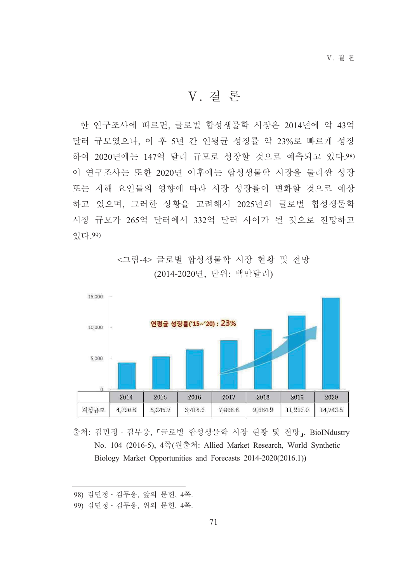V. 결 론

한 연구조사에 따르면, 글로벌 합성생물학 시장은 2014년에 약 43억 달러 규모였으나, 이 후 5년 간 연평균 성장률 약 23%로 빠르게 성장 하여 2020년에는 147억 달러 규모로 성장할 것으로 예측되고 있다.98) 이 연구조사는 또한 2020년 이후에는 합성생물학 시장을 둘러싼 성장 또는 저해 요인들의 영향에 따라 시장 성장률이 변화할 것으로 예상 하고 있으며, 그러한 상황을 고려해서 2025년의 글로벌 합성생물학 시장 규모가 265억 달러에서 332억 달러 사이가 될 것으로 전망하고 있다.99)

> <그림-4> 글로벌 합성생물학 시장 현황 및 전망 (2014-2020년, 단위: 백만달러)



출처: 김민정 · 김무웅, 『글로벌 합성생물학 시장 현황 및 전망』, BioINdustry No. 104 (2016-5), 4쪽(원출처: Allied Market Research, World Synthetic Biology Market Opportunities and Forecasts 2014-2020(2016.1))

<sup>98)</sup> 김민정 · 김무웅, 앞의 문헌, 4쪽.

<sup>99)</sup> 김민정 · 김무웅, 위의 문헌, 4쪽.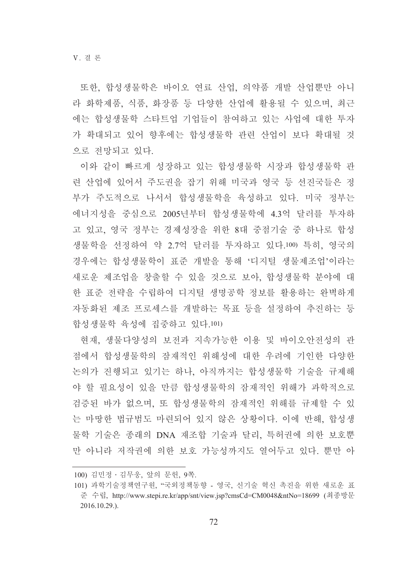또한, 합성생물학은 바이오 연료 산업, 의약품 개발 산업뿐만 아니 라 화학제품, 식품, 화장품 등 다양한 산업에 활용될 수 있으며, 최근 에는 합성생물학 스타트업 기업들이 참여하고 있는 사업에 대한 투자 가 확대되고 있어 향후에는 합성생물학 관련 산업이 보다 확대될 것 으로 전망되고 있다.

이와 같이 빠르게 성장하고 있는 합성생물학 시장과 합성생물학 관 련 산업에 있어서 주도권을 잡기 위해 미국과 영국 등 선진국들은 정 부가 주도적으로 나서서 합성생물학을 육성하고 있다. 미국 정부는 에너지성을 중심으로 2005년부터 합성생물학에 4.3억 달러를 투자하 고 있고, 영국 정부는 경제성장을 위한 8대 중점기술 중 하나로 합성 생물학을 선정하여 약 2.7억 달러를 투자하고 있다.100) 특히, 영국의 경우에는 합성생물학이 표주 개발을 통해 '디지털 생물제조업'이라는 새로운 제조업을 창출할 수 있을 것으로 보아. 합성생물학 부야에 대 한 표주 전략을 수립하여 디지털 생명공학 정보를 활용하는 완벽하게 자동화된 제조 프로세스를 개발하는 목표 등을 설정하여 추진하는 등 합성생물학 육성에 집중하고 있다.101)

현재, 생물다양성의 보전과 지속가능한 이용 및 바이오안전성의 관 점에서 합성생물학의 잠재적인 위해성에 대한 우려에 기인한 다양한 논의가 진행되고 있기는 하나, 아직까지는 합성생물학 기술을 규제해 야 할 필요성이 있을 만큼 합성생물학의 잠재적인 위해가 과학적으로 검증된 바가 없으며, 또 합성생물학의 잠재적인 위해를 규제할 수 있 는 마땅한 법규범도 마련되어 있지 않은 상황이다. 이에 반해, 합성생 물학 기술은 종래의 DNA 재조합 기술과 달리, 특허권에 의한 보호뿐 만 아니라 저작권에 의한 보호 가능성까지도 열어두고 있다. 뿐만 아

<sup>100)</sup> 김민정 · 김무웅, 앞의 문헌, 9쪽.

<sup>101)</sup> 과학기술정책연구원, "국외정책동향 - 영국, 신기술 혁신 촉진을 위한 새로운 표 준 수립, http://www.stepi.re.kr/app/snt/view.jsp?cmsCd=CM0048&ntNo=18699 (최종방문 2016.10.29.).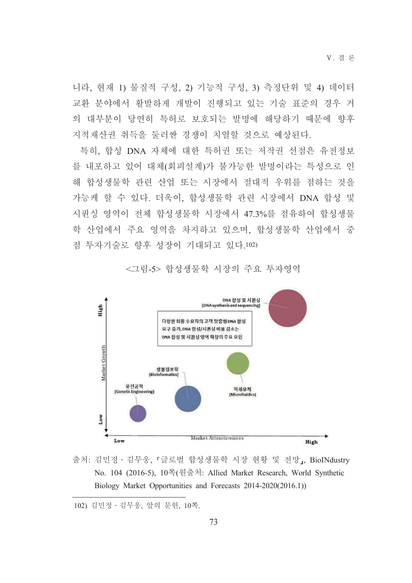V 결 론

니라, 현재 1) 물질적 구성, 2) 기능적 구성, 3) 측정단위 및 4) 데이터 교환 분야에서 활발하게 개발이 진행되고 있는 기술 표준의 경우 거 의 대부분이 당연히 특허로 보호되는 발명에 해당하기 때문에 향후 지적재산권 취득을 둘러싼 경쟁이 치열할 것으로 예상된다.

특히, 합성 DNA 자체에 대한 특허권 또는 저작권 선점은 유전정보 를 내포하고 있어 대체(회피설계)가 불가능한 발명이라는 특성으로 인 해 합성생물학 관련 산업 또는 시장에서 절대적 우위를 점하는 것을 가능케 할 수 있다. 더욱이, 합성생물학 관련 시장에서 DNA 합성 및 시퀀싱 영역이 전체 합성생물학 시장에서 47.3%를 점유하여 합성생물 학 산업에서 주요 영역을 차지하고 있으며, 합성생물학 산업에서 중 점 투자기술로 향후 성장이 기대되고 있다.102)

<그림-5> 합성생물학 시장의 주요 투자영역



출처: 김민정 · 김무웅, 『글로벌 합성생물학 시장 현황 및 전망』, BioINdustry No. 104 (2016-5), 10쪽(원출처: Allied Market Research, World Synthetic Biology Market Opportunities and Forecasts 2014-2020(2016.1))

102) 김민정 · 김무웅, 앞의 문헌, 10쪽.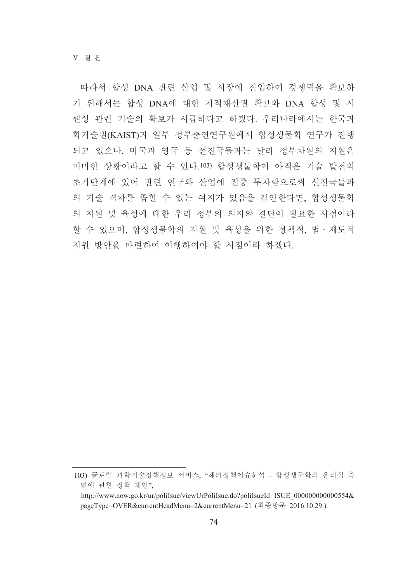따라서 합성 DNA 관련 산업 및 시장에 진입하여 경쟁력을 확보하 기 위해서는 합성 DNA에 대한 지적재산권 확보와 DNA 합성 및 시 퀀싱 관련 기술의 확보가 시급하다고 하겠다. 우리나라에서는 한국과 학기술원(KAIST)과 일부 정부출연연구원에서 합성생물학 연구가 진행 되고 있으나, 미국과 영국 등 선진국들과는 달리 정부차원의 지원은 미미한 상황이라고 할 수 있다.103) 합성생물학이 아직은 기술 발전의 초기단계에 있어 관련 연구와 산업에 집중 투자함으로써 선진국들과 의 기술 격차를 좁힐 수 있는 여지가 있음을 감안한다면, 합성생물학 의 지원 및 육성에 대한 우리 정부의 의지와 결단이 필요한 시점이라 할 수 있으며, 합성생물학의 지원 및 육성을 위한 정책적, 법 · 제도적 지원 방안을 마련하여 이행하여야 할 시점이라 하겠다.

<sup>103)</sup> 글로벌 과학기술정책정보 서비스. "해외정책이슈분석 - 합성생물학의 유리적 측 면에 관한 정책 제언".

http://www.now.go.kr/ur/polilsue/viewUrPolilsue.do?polilsueId=ISUE 00000000000554& pageType=OVER&currentHeadMenu=2&currentMenu=21 (최종방문 2016.10.29.).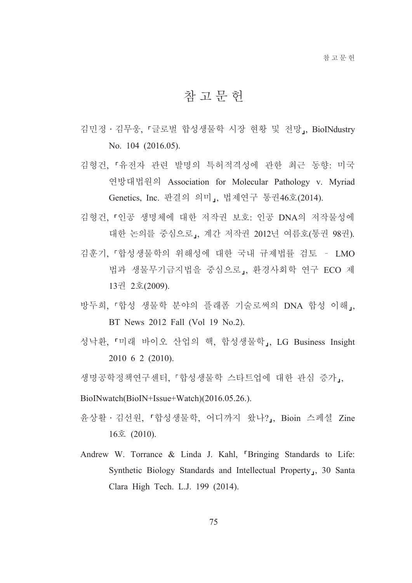## 참고문헌

- 김민정 · 김무웅, 『글로벌 합성생물학 시장 현황 및 전망』, BioINdustry No. 104 (2016.05).
- 김형건, 「유전자 관련 발명의 특허적격성에 관한 최근 동향: 미국 연방대법원의 Association for Molecular Pathology v. Myriad Genetics, Inc. 판결의 의미」, 법제연구 통권46호(2014).
- 김형건, 『인공 생명체에 대한 저작권 보호: 인공 DNA의 저작물성에 대한 논의를 중심으로」, 계간 저작권 2012년 여름호(통권 98권).
- 김후기. 『합성생물학의 위해성에 대한 국내 규제법률 검토 LMO 법과 생물무기금지법을 중심으로, 환경사회학 연구 ECO 제 13권 2호(2009).
- 방두희, 『합성 생물학 분야의 플래폼 기술로써의 DNA 합성 이해』, BT News 2012 Fall (Vol 19 No.2).
- 성낙환, 「미래 바이오 산업의 핵, 합성생물학」, LG Business Insight 2010 6 2 (2010).
- 생명공학정책연구센터, 『합성생물학 스타트업에 대한 관심 증가,,

BioINwatch(BioIN+Issue+Watch)(2016.05.26.).

- 윤상활 · 김선원, 『합성생물학, 어디까지 왔나?』, Bioin 스페셜 Zine 16호 (2010).
- Andrew W. Torrance & Linda J. Kahl, "Bringing Standards to Life: Synthetic Biology Standards and Intellectual Property<sub>1</sub>, 30 Santa Clara High Tech. L.J. 199 (2014).